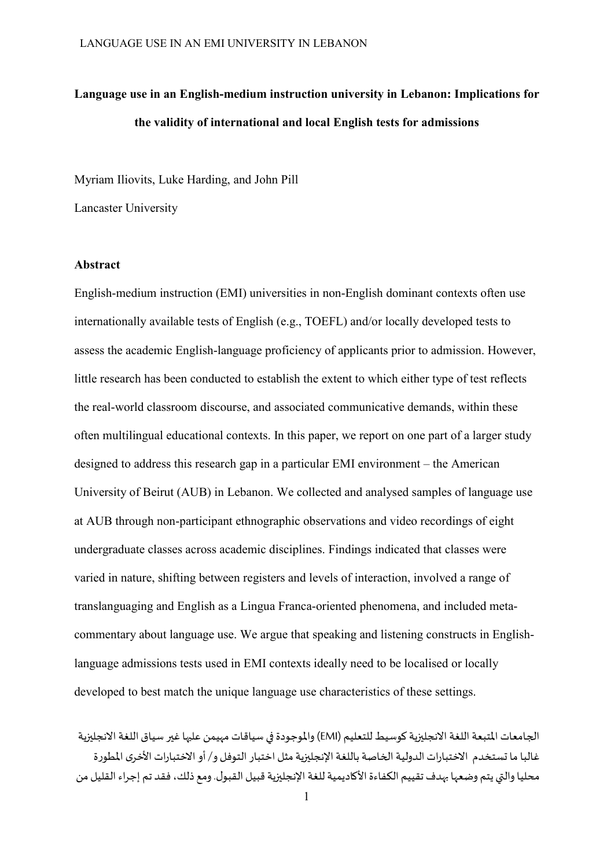# **Language use in an English-medium instruction university in Lebanon: Implications for the validity of international and local English tests for admissions**

Myriam Iliovits, Luke Harding, and John Pill

Lancaster University

# **Abstract**

English-medium instruction (EMI) universities in non-English dominant contexts often use internationally available tests of English (e.g., TOEFL) and/or locally developed tests to assess the academic English-language proficiency of applicants prior to admission. However, little research has been conducted to establish the extent to which either type of test reflects the real-world classroom discourse, and associated communicative demands, within these often multilingual educational contexts. In this paper, we report on one part of a larger study designed to address this research gap in a particular EMI environment – the American University of Beirut (AUB) in Lebanon. We collected and analysed samples of language use at AUB through non-participant ethnographic observations and video recordings of eight undergraduate classes across academic disciplines. Findings indicated that classes were varied in nature, shifting between registers and levels of interaction, involved a range of translanguaging and English as a Lingua Franca-oriented phenomena, and included metacommentary about language use. We argue that speaking and listening constructs in Englishlanguage admissions tests used in EMI contexts ideally need to be localised or locally developed to best match the unique language use characteristics of these settings.

الجامعات المتبعة اللغة الانجليزية كوسيط للتعليم (EMI) والموجودة في سياقات مهيمن عليها غير سياق اللغة الانجليزية غالبا ما تستخدم الاختبارات الدولية الخاصة باللغة الإنجليزية مثل اختبار التوفل و/ أو الاختبارات الأخرى المطورة محليا والتي يتم وضعها بهدف تقييم الكفاءة الأكاديمية للغة الإنجليزية قبيل القبول. ومع ذلك، فقد تم إجراء القليل من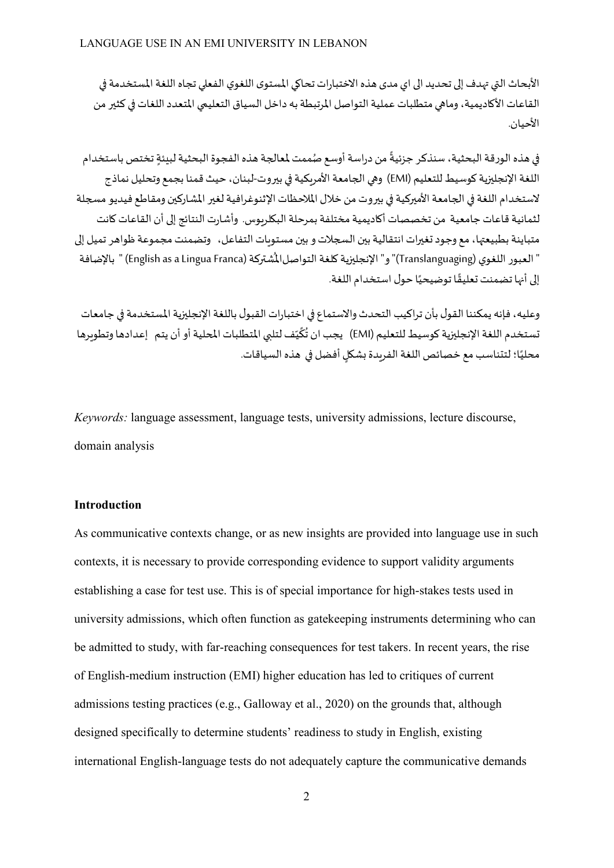الأبحاث التي تهدف إلى تحديد الى اي مدى هذه الاختبارات تحاكي المستوى اللغوي الفعلى تجاه اللغة المستخدمة في القاعات الأكاديمية، وماهي متطلبات عملية التواصل المرتبطة به داخل السياق التعليمي المتعدد اللغات في كثير من الأحيان.

في هذه الورقة البحثية، سنذكر جزئيةً من دراسة أوسع صُممت لمعالجة هذه الفجوة البحثية لبنئة تختص باستخدام اللغة الإنجليزية كوسيط للتعليم (EMI) وهي الجامعة الأمريكية في بيروت-لبنان، حيث قمنا بجمع وتحليل نماذج لاستخدام اللغة في الجامعة الأميركية في بيروت من خلال الملاحظات الإثنوغرافية لغير المشاركين ومقاطع فيديو مسجلة لثمانية قاعات جامعية من تخصصات أكاديمية مختلفة بمرحلة البكلربوس. وأشارت النتائج إلى أن القاعات كانت متباينة بطبيعتها، مع وجود تغيرات انتقالية بين السجلات و بين مستوبات التفاعل، وتضمنت مجموعة ظواهر تميل إلى " العبور اللغوي (Translanguaging)" و" الإنجليزية كلغة التواصل|لمُشتركة (English as a Lingua Franca) " بالإضافة إلى أنها تضمنت تعليقًا توضيحيًا حول استخدام اللغة.

وعليه، فإنه يمكننا القول بأن تراكيب التحدث والاستماع في اختبارات القبول باللغة الإنجليزية المستخدمة في جامعات تستخدم اللغة الإنجليزية كوسيط للتعليم (EMI) يجب ان تُكَيِّف لتلبي المتطلبات المحلية أو أن يتم إعدادها وتطويرها محليًا؛ لتتناسب مع خصائص اللغة الفريدة بشكل أفضل في هذه السياقات.

*Keywords:* language assessment, language tests, university admissions, lecture discourse, domain analysis

# **Introduction**

As communicative contexts change, or as new insights are provided into language use in such contexts, it is necessary to provide corresponding evidence to support validity arguments establishing a case for test use. This is of special importance for high-stakes tests used in university admissions, which often function as gate keeping instruments determining who can be admitted to study, with far-reaching consequences for test takers. In recent years, the rise of English-medium instruction (EMI) higher education has led to critiques of current admissions testing practices (e.g., Galloway et al., 2020) on the grounds that, although designed specifically to determine students' readiness to study in English, existing international English-language tests do not adequately capture the communicative demands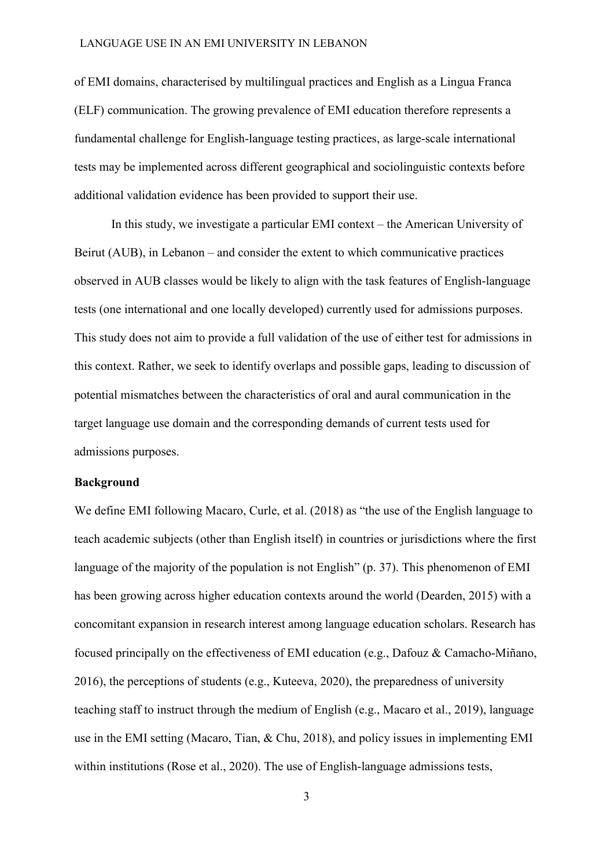of EMI domains, characterised by multilingual practices and English as a Lingua Franca (ELF) communication. The growing prevalence of EMI education therefore represents a fundamental challenge for English-language testing practices, as large-scale international tests may be implemented across different geographical and sociolinguistic contexts before additional validation evidence has been provided to support their use.

In this study, we investigate a particular EMI context – the American University of Beirut (AUB), in Lebanon – and consider the extent to which communicative practices observed in AUB classes would be likely to align with the task features of English-language tests (one international and one locally developed) currently used for admissions purposes. This study does not aim to provide a full validation of the use of either test for admissions in this context. Rather, we seek to identify overlaps and possible gaps, leading to discussion of potential mismatches between the characteristics of oral and aural communication in the target language use domain and the corresponding demands of current tests used for admissions purposes.

## **Background**

We define EMI following Macaro, Curle, et al. (2018) as "the use of the English language to teach academic subjects (other than English itself) in countries or jurisdictions where the first language of the majority of the population is not English" (p. 37). This phenomenon of EMI has been growing across higher education contexts around the world (Dearden, 2015) with a concomitant expansion in research interest among language education scholars. Research has focused principally on the effectiveness of EMI education (e.g., Dafouz & Camacho-Miñano, 2016), the perceptions of students (e.g., Kuteeva, 2020), the preparedness of university teaching staff to instruct through the medium of English (e.g., Macaro et al., 2019), language use in the EMI setting (Macaro, Tian, & Chu, 2018), and policy issues in implementing EMI within institutions (Rose et al., 2020). The use of English-language admissions tests,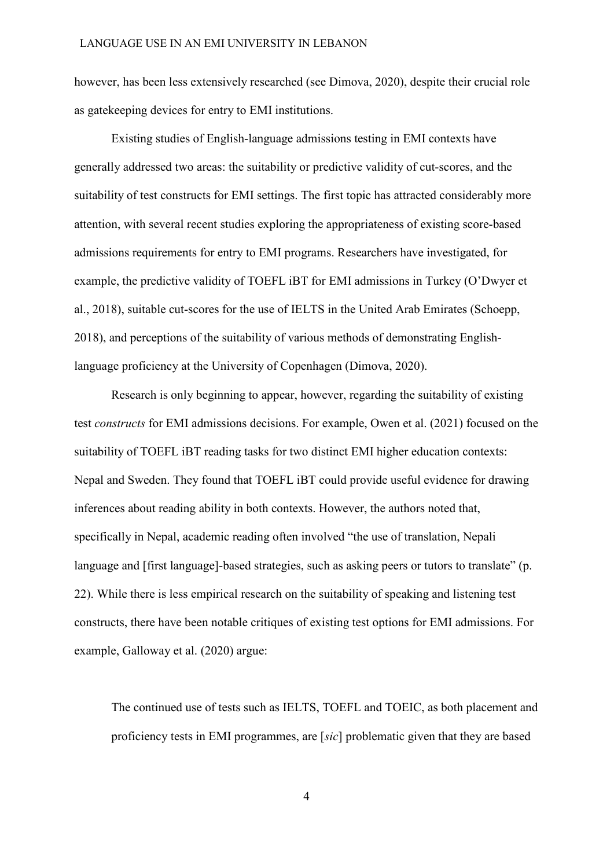however, has been less extensively researched (see Dimova, 2020), despite their crucial role as gatekeeping devices for entry to EMI institutions.

Existing studies of English-language admissions testing in EMI contexts have generally addressed two areas: the suitability or predictive validity of cut-scores, and the suitability of test constructs for EMI settings. The first topic has attracted considerably more attention, with several recent studies exploring the appropriateness of existing score-based admissions requirements for entry to EMI programs. Researchers have investigated, for example, the predictive validity of TOEFL iBT for EMI admissions in Turkey (O'Dwyer et al., 2018), suitable cut-scores for the use of IELTS in the United Arab Emirates (Schoepp, 2018), and perceptions of the suitability of various methods of demonstrating Englishlanguage proficiency at the University of Copenhagen (Dimova, 2020).

Research is only beginning to appear, however, regarding the suitability of existing test *constructs* for EMI admissions decisions. For example, Owen et al. (2021) focused on the suitability of TOEFL iBT reading tasks for two distinct EMI higher education contexts: Nepal and Sweden. They found that TOEFL iBT could provide useful evidence for drawing inferences about reading ability in both contexts. However, the authors noted that, specifically in Nepal, academic reading often involved "the use of translation, Nepali language and [first language]-based strategies, such as asking peers or tutors to translate" (p. 22). While there is less empirical research on the suitability of speaking and listening test constructs, there have been notable critiques of existing test options for EMI admissions. For example, Galloway et al. (2020) argue:

The continued use of tests such as IELTS, TOEFL and TOEIC, as both placement and proficiency tests in EMI programmes, are [*sic*] problematic given that they are based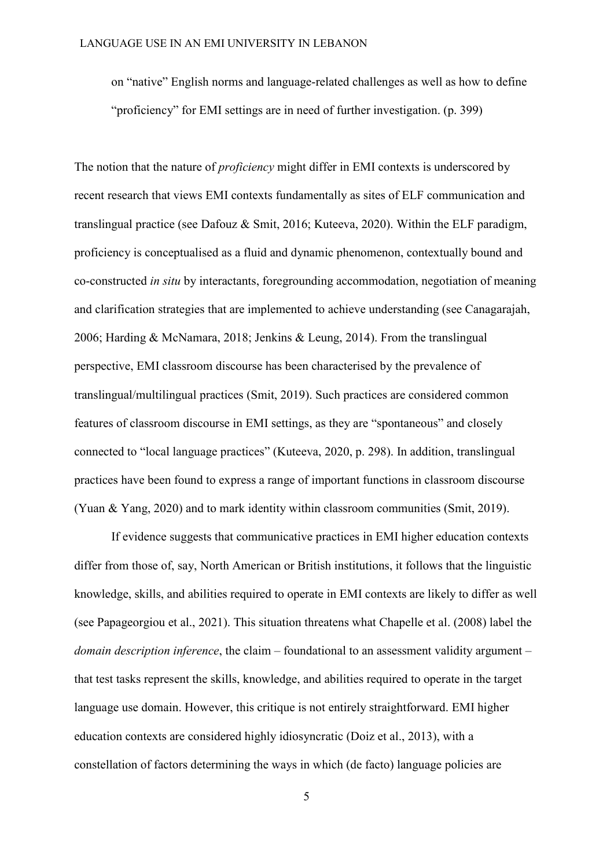on "native" English norms and language-related challenges as well as how to define "proficiency" for EMI settings are in need of further investigation. (p. 399)

The notion that the nature of *proficiency* might differ in EMI contexts is underscored by recent research that views EMI contexts fundamentally as sites of ELF communication and translingual practice (see Dafouz & Smit, 2016; Kuteeva, 2020). Within the ELF paradigm, proficiency is conceptualised as a fluid and dynamic phenomenon, contextually bound and co-constructed *in situ* by interactants, foregrounding accommodation, negotiation of meaning and clarification strategies that are implemented to achieve understanding (see Canagarajah, 2006; Harding & McNamara, 2018; Jenkins & Leung, 2014). From the translingual perspective, EMI classroom discourse has been characterised by the prevalence of translingual/multilingual practices (Smit, 2019). Such practices are considered common features of classroom discourse in EMI settings, as they are "spontaneous" and closely connected to "local language practices" (Kuteeva, 2020, p. 298). In addition, translingual practices have been found to express a range of important functions in classroom discourse (Yuan & Yang, 2020) and to mark identity within classroom communities (Smit, 2019).

If evidence suggests that communicative practices in EMI higher education contexts differ from those of, say, North American or British institutions, it follows that the linguistic knowledge, skills, and abilities required to operate in EMI contexts are likely to differ as well (see Papageorgiou et al., 2021). This situation threatens what Chapelle et al. (2008) label the *domain description inference*, the claim – foundational to an assessment validity argument – that test tasks represent the skills, knowledge, and abilities required to operate in the target language use domain. However, this critique is not entirely straightforward. EMI higher education contexts are considered highly idiosyncratic (Doiz et al., 2013), with a constellation of factors determining the ways in which (de facto) language policies are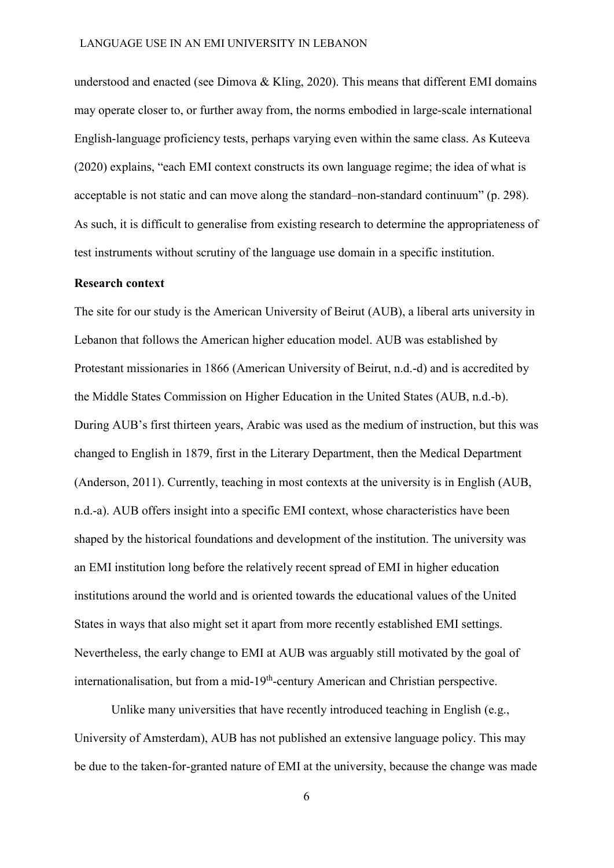understood and enacted (see Dimova & Kling, 2020). This means that different EMI domains may operate closer to, or further away from, the norms embodied in large-scale international English-language proficiency tests, perhaps varying even within the same class. As Kuteeva (2020) explains, "each EMI context constructs its own language regime; the idea of what is acceptable is not static and can move along the standard–non-standard continuum" (p. 298). As such, it is difficult to generalise from existing research to determine the appropriateness of test instruments without scrutiny of the language use domain in a specific institution.

# **Research context**

The site for our study is the American University of Beirut (AUB), a liberal arts university in Lebanon that follows the American higher education model. AUB was established by Protestant missionaries in 1866 (American University of Beirut, n.d.-d) and is accredited by the Middle States Commission on Higher Education in the United States (AUB, n.d.-b). During AUB's first thirteen years, Arabic was used as the medium of instruction, but this was changed to English in 1879, first in the Literary Department, then the Medical Department (Anderson, 2011). Currently, teaching in most contexts at the university is in English (AUB, n.d.-a). AUB offers insight into a specific EMI context, whose characteristics have been shaped by the historical foundations and development of the institution. The university was an EMI institution long before the relatively recent spread of EMI in higher education institutions around the world and is oriented towards the educational values of the United States in ways that also might set it apart from more recently established EMI settings. Nevertheless, the early change to EMI at AUB was arguably still motivated by the goal of internationalisation, but from a mid-19<sup>th</sup>-century American and Christian perspective.

Unlike many universities that have recently introduced teaching in English (e.g., University of Amsterdam), AUB has not published an extensive language policy. This may be due to the taken-for-granted nature of EMI at the university, because the change was made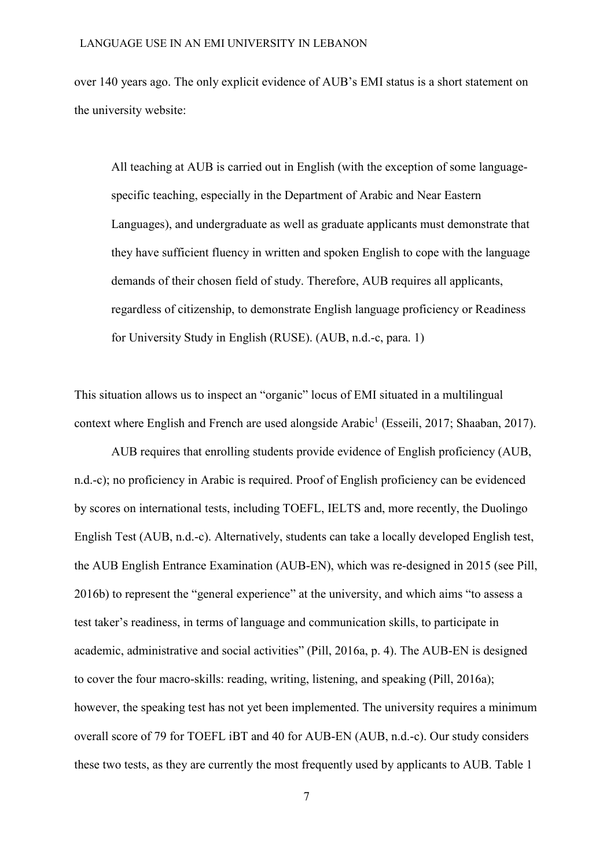over 140 years ago. The only explicit evidence of AUB's EMI status is a short statement on the university website:

All teaching at AUB is carried out in English (with the exception of some languagespecific teaching, especially in the Department of Arabic and Near Eastern Languages), and undergraduate as well as graduate applicants must demonstrate that they have sufficient fluency in written and spoken English to cope with the language demands of their chosen field of study. Therefore, AUB requires all applicants, regardless of citizenship, to demonstrate English language proficiency or Readiness for University Study in English (RUSE). (AUB, n.d.-c, para. 1)

This situation allows us to inspect an "organic" locus of EMI situated in a multilingual context where English and French are used alongside Arabic<sup>1</sup> (Esseili, 2017; Shaaban, 2017).

AUB requires that enrolling students provide evidence of English proficiency (AUB, n.d.-c); no proficiency in Arabic is required. Proof of English proficiency can be evidenced by scores on international tests, including TOEFL, IELTS and, more recently, the Duolingo English Test (AUB, n.d.-c). Alternatively, students can take a locally developed English test, the AUB English Entrance Examination (AUB-EN), which was re-designed in 2015 (see Pill, 2016b) to represent the "general experience" at the university, and which aims "to assess a test taker's readiness, in terms of language and communication skills, to participate in academic, administrative and social activities" (Pill, 2016a, p. 4). The AUB-EN is designed to cover the four macro-skills: reading, writing, listening, and speaking (Pill, 2016a); however, the speaking test has not yet been implemented. The university requires a minimum overall score of 79 for TOEFL iBT and 40 for AUB-EN (AUB, n.d.-c). Our study considers these two tests, as they are currently the most frequently used by applicants to AUB. Table 1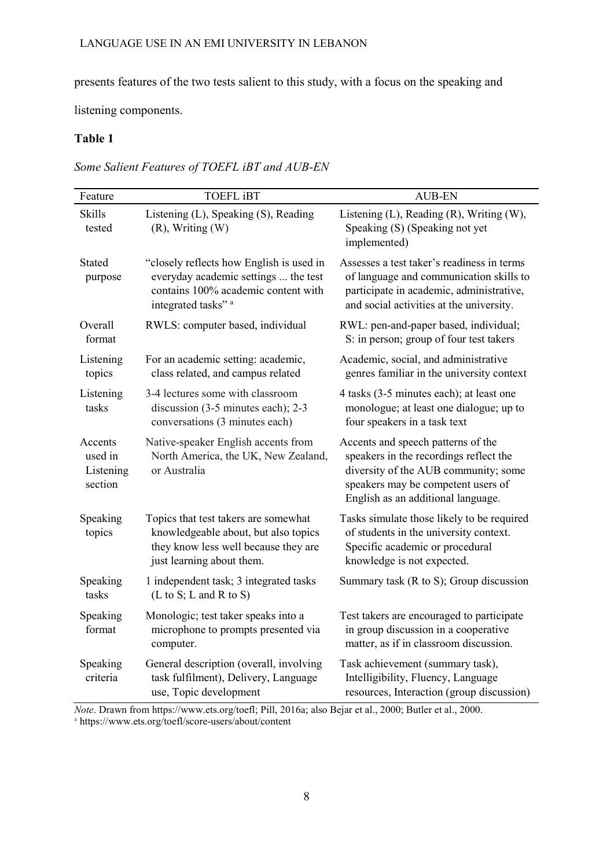presents features of the two tests salient to this study, with a focus on the speaking and

listening components.

# **Table 1**

*Some Salient Features of TOEFL iBT and AUB-EN*

| Feature                                    | <b>TOEFL iBT</b>                                                                                                                                          | <b>AUB-EN</b>                                                                                                                                                                                    |
|--------------------------------------------|-----------------------------------------------------------------------------------------------------------------------------------------------------------|--------------------------------------------------------------------------------------------------------------------------------------------------------------------------------------------------|
| Skills<br>tested                           | Listening (L), Speaking (S), Reading<br>$(R)$ , Writing $(W)$                                                                                             | Listening $(L)$ , Reading $(R)$ , Writing $(W)$ ,<br>Speaking (S) (Speaking not yet<br>implemented)                                                                                              |
| <b>Stated</b><br>purpose                   | "closely reflects how English is used in<br>everyday academic settings  the test<br>contains 100% academic content with<br>integrated tasks" <sup>a</sup> | Assesses a test taker's readiness in terms<br>of language and communication skills to<br>participate in academic, administrative,<br>and social activities at the university.                    |
| Overall<br>format                          | RWLS: computer based, individual                                                                                                                          | RWL: pen-and-paper based, individual;<br>S: in person; group of four test takers                                                                                                                 |
| Listening<br>topics                        | For an academic setting: academic,<br>class related, and campus related                                                                                   | Academic, social, and administrative<br>genres familiar in the university context                                                                                                                |
| Listening<br>tasks                         | 3-4 lectures some with classroom<br>discussion $(3-5$ minutes each); 2-3<br>conversations (3 minutes each)                                                | 4 tasks (3-5 minutes each); at least one<br>monologue; at least one dialogue; up to<br>four speakers in a task text                                                                              |
| Accents<br>used in<br>Listening<br>section | Native-speaker English accents from<br>North America, the UK, New Zealand,<br>or Australia                                                                | Accents and speech patterns of the<br>speakers in the recordings reflect the<br>diversity of the AUB community; some<br>speakers may be competent users of<br>English as an additional language. |
| Speaking<br>topics                         | Topics that test takers are somewhat<br>knowledgeable about, but also topics<br>they know less well because they are<br>just learning about them.         | Tasks simulate those likely to be required<br>of students in the university context.<br>Specific academic or procedural<br>knowledge is not expected.                                            |
| Speaking<br>tasks                          | 1 independent task; 3 integrated tasks<br>(L to S; L and R to S)                                                                                          | Summary task (R to S); Group discussion                                                                                                                                                          |
| Speaking<br>format                         | Monologic; test taker speaks into a<br>microphone to prompts presented via<br>computer.                                                                   | Test takers are encouraged to participate<br>in group discussion in a cooperative<br>matter, as if in classroom discussion.                                                                      |
| Speaking<br>criteria                       | General description (overall, involving<br>task fulfilment), Delivery, Language<br>use, Topic development                                                 | Task achievement (summary task),<br>Intelligibility, Fluency, Language<br>resources, Interaction (group discussion)                                                                              |

*Note*. Drawn from https://www.ets.org/toefl; Pill, 2016a; also Bejar et al., 2000; Butler et al., 2000. <sup>a</sup> https://www.ets.org/toefl/score-users/about/content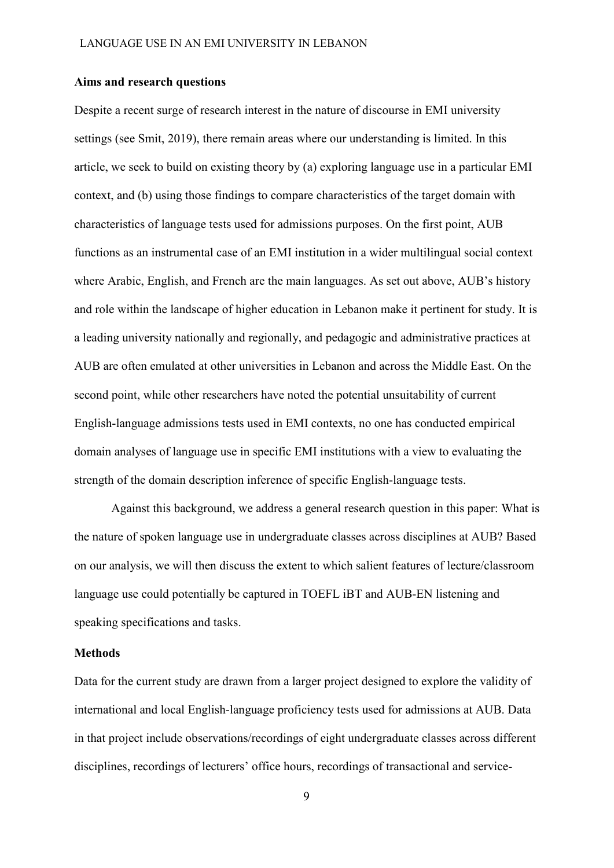## **Aims and research questions**

Despite a recent surge of research interest in the nature of discourse in EMI university settings (see Smit, 2019), there remain areas where our understanding is limited. In this article, we seek to build on existing theory by (a) exploring language use in a particular EMI context, and (b) using those findings to compare characteristics of the target domain with characteristics of language tests used for admissions purposes. On the first point, AUB functions as an instrumental case of an EMI institution in a wider multilingual social context where Arabic, English, and French are the main languages. As set out above, AUB's history and role within the landscape of higher education in Lebanon make it pertinent for study. It is a leading university nationally and regionally, and pedagogic and administrative practices at AUB are often emulated at other universities in Lebanon and across the Middle East. On the second point, while other researchers have noted the potential unsuitability of current English-language admissions tests used in EMI contexts, no one has conducted empirical domain analyses of language use in specific EMI institutions with a view to evaluating the strength of the domain description inference of specific English-language tests.

Against this background, we address a general research question in this paper: What is the nature of spoken language use in undergraduate classes across disciplines at AUB? Based on our analysis, we will then discuss the extent to which salient features of lecture/classroom language use could potentially be captured in TOEFL iBT and AUB-EN listening and speaking specifications and tasks.

## **Methods**

Data for the current study are drawn from a larger project designed to explore the validity of international and local English-language proficiency tests used for admissions at AUB. Data in that project include observations/recordings of eight undergraduate classes across different disciplines, recordings of lecturers' office hours, recordings of transactional and service-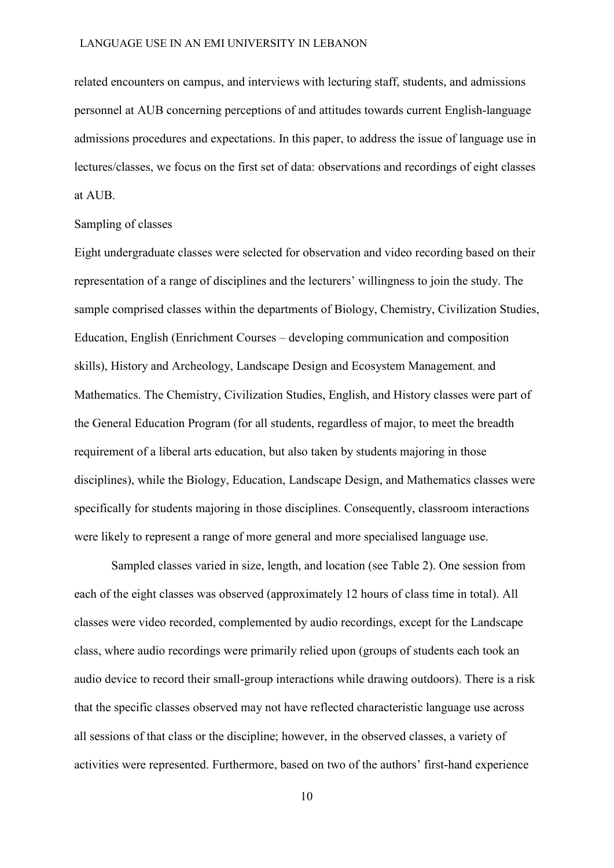related encounters on campus, and interviews with lecturing staff, students, and admissions personnel at AUB concerning perceptions of and attitudes towards current English-language admissions procedures and expectations. In this paper, to address the issue of language use in lectures/classes, we focus on the first set of data: observations and recordings of eight classes at AUB.

## Sampling of classes

Eight undergraduate classes were selected for observation and video recording based on their representation of a range of disciplines and the lecturers' willingness to join the study. The sample comprised classes within the departments of Biology, Chemistry, Civilization Studies, Education, English (Enrichment Courses – developing communication and composition skills), History and Archeology, Landscape Design and Ecosystem Management, and Mathematics. The Chemistry, Civilization Studies, English, and History classes were part of the General Education Program (for all students, regardless of major, to meet the breadth requirement of a liberal arts education, but also taken by students majoring in those disciplines), while the Biology, Education, Landscape Design, and Mathematics classes were specifically for students majoring in those disciplines. Consequently, classroom interactions were likely to represent a range of more general and more specialised language use.

Sampled classes varied in size, length, and location (see Table 2). One session from each of the eight classes was observed (approximately 12 hours of class time in total). All classes were video recorded, complemented by audio recordings, except for the Landscape class, where audio recordings were primarily relied upon (groups of students each took an audio device to record their small-group interactions while drawing outdoors). There is a risk that the specific classes observed may not have reflected characteristic language use across all sessions of that class or the discipline; however, in the observed classes, a variety of activities were represented. Furthermore, based on two of the authors' first-hand experience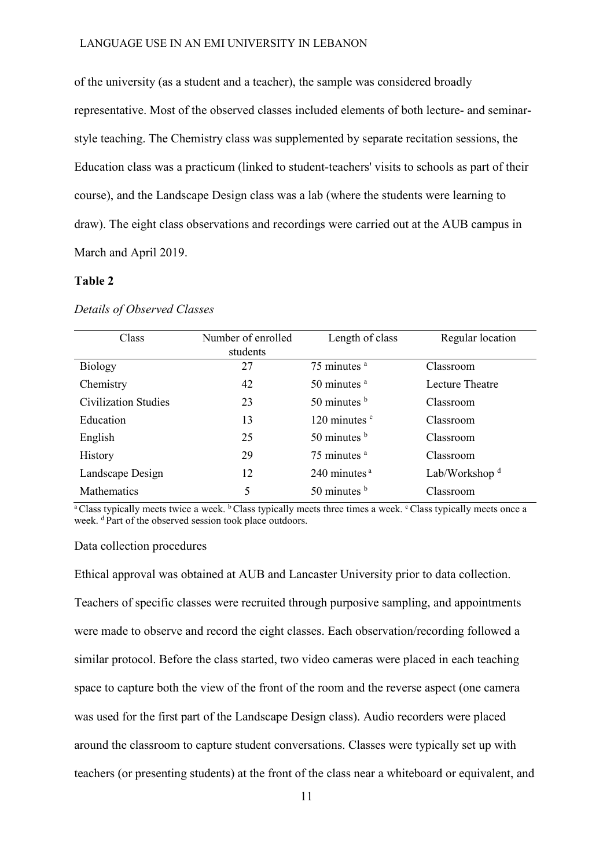of the university (as a student and a teacher), the sample was considered broadly representative. Most of the observed classes included elements of both lecture- and seminarstyle teaching. The Chemistry class was supplemented by separate recitation sessions, the Education class was a practicum (linked to student-teachers' visits to schools as part of their course), and the Landscape Design class was a lab (where the students were learning to draw). The eight class observations and recordings were carried out at the AUB campus in March and April 2019.

## **Table 2**

| Class                | Number of enrolled<br>students | Length of class                         | Regular location          |
|----------------------|--------------------------------|-----------------------------------------|---------------------------|
| <b>Biology</b>       | 27                             | $75$ minutes $a$                        | Classroom                 |
| Chemistry            | 42                             | $50$ minutes $a$                        | Lecture Theatre           |
| Civilization Studies | 23                             | $50$ minutes $\frac{b}{2}$              | Classroom                 |
| Education            | 13                             | 120 minutes $\degree$                   | Classroom                 |
| English              | 25                             | 50 minutes $\frac{b}{2}$                | Classroom                 |
| <b>History</b>       | 29                             | 75 minutes <sup>a</sup>                 | Classroom                 |
| Landscape Design     | 12                             | $240$ minutes <sup><math>a</math></sup> | Lab/Workshop <sup>d</sup> |
| <b>Mathematics</b>   | 5                              | 50 minutes $\frac{b}{2}$                | Classroom                 |

#### *Details of Observed Classes*

<sup>a</sup> Class typically meets twice a week.  $\frac{b}{c}$  Class typically meets three times a week. <sup>c</sup> Class typically meets once a week. <sup>d</sup>Part of the observed session took place outdoors.

#### Data collection procedures

Ethical approval was obtained at AUB and Lancaster University prior to data collection. Teachers of specific classes were recruited through purposive sampling, and appointments were made to observe and record the eight classes. Each observation/recording followed a similar protocol. Before the class started, two video cameras were placed in each teaching space to capture both the view of the front of the room and the reverse aspect (one camera was used for the first part of the Landscape Design class). Audio recorders were placed around the classroom to capture student conversations. Classes were typically set up with teachers (or presenting students) at the front of the class near a whiteboard or equivalent, and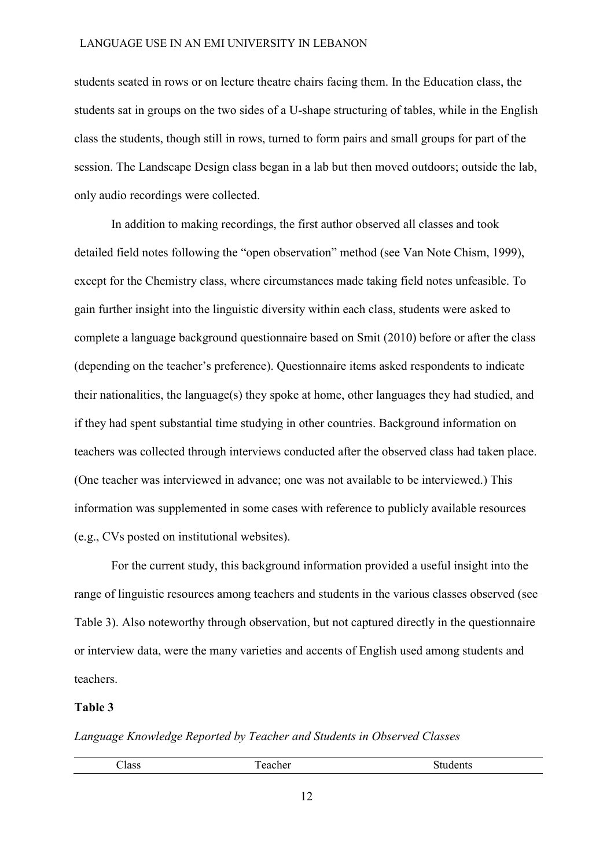students seated in rows or on lecture theatre chairs facing them. In the Education class, the students sat in groups on the two sides of a U-shape structuring of tables, while in the English class the students, though still in rows, turned to form pairs and small groups for part of the session. The Landscape Design class began in a lab but then moved outdoors; outside the lab, only audio recordings were collected.

In addition to making recordings, the first author observed all classes and took detailed field notes following the "open observation" method (see Van Note Chism, 1999), except for the Chemistry class, where circumstances made taking field notes unfeasible. To gain further insight into the linguistic diversity within each class, students were asked to complete a language background questionnaire based on Smit (2010) before or after the class (depending on the teacher's preference). Questionnaire items asked respondents to indicate their nationalities, the language(s) they spoke at home, other languages they had studied, and if they had spent substantial time studying in other countries. Background information on teachers was collected through interviews conducted after the observed class had taken place. (One teacher was interviewed in advance; one was not available to be interviewed.) This information was supplemented in some cases with reference to publicly available resources (e.g., CVs posted on institutional websites).

For the current study, this background information provided a useful insight into the range of linguistic resources among teachers and students in the various classes observed (see Table 3). Also noteworthy through observation, but not captured directly in the questionnaire or interview data, were the many varieties and accents of English used among students and teachers.

## **Table 3**

*Language Knowledge Reported by Teacher and Students in Observed Classes*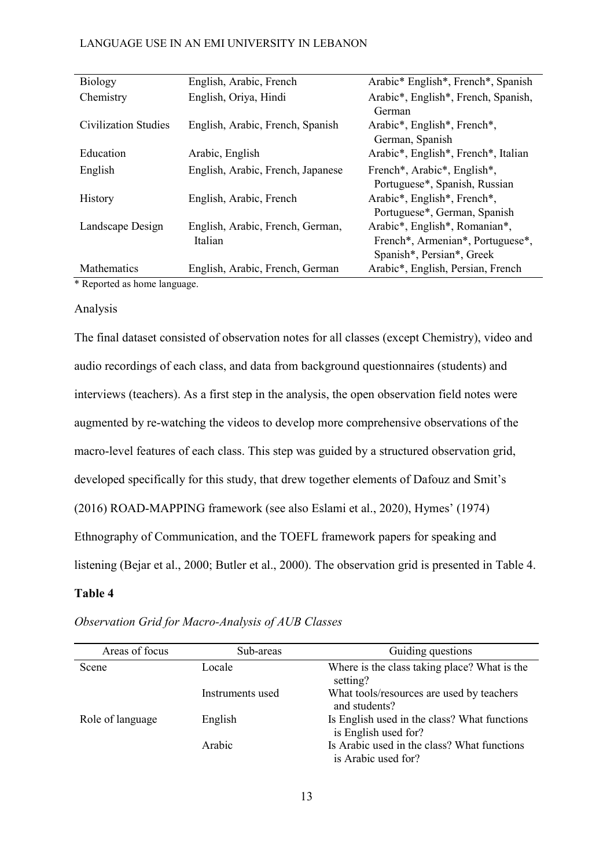| Biology              | English, Arabic, French           | Arabic* English*, French*, Spanish                                 |
|----------------------|-----------------------------------|--------------------------------------------------------------------|
| Chemistry            | English, Oriya, Hindi             | Arabic*, English*, French, Spanish,                                |
|                      |                                   | German                                                             |
| Civilization Studies | English, Arabic, French, Spanish  | Arabic <sup>*</sup> , English <sup>*</sup> , French <sup>*</sup> , |
|                      |                                   | German, Spanish                                                    |
| Education            | Arabic, English                   | Arabic*, English*, French*, Italian                                |
| English              | English, Arabic, French, Japanese | French*, Arabic*, English*,                                        |
|                      |                                   | Portuguese*, Spanish, Russian                                      |
| <b>History</b>       | English, Arabic, French           | Arabic*, English*, French*,                                        |
|                      |                                   | Portuguese*, German, Spanish                                       |
| Landscape Design     | English, Arabic, French, German,  | Arabic*, English*, Romanian*,                                      |
|                      | Italian                           | French*, Armenian*, Portuguese*,                                   |
|                      |                                   | Spanish*, Persian*, Greek                                          |
| <b>Mathematics</b>   | English, Arabic, French, German   | Arabic*, English, Persian, French                                  |

\* Reported as home language.

## Analysis

The final dataset consisted of observation notes for all classes (except Chemistry), video and audio recordings of each class, and data from background questionnaires (students) and interviews (teachers). As a first step in the analysis, the open observation field notes were augmented by re-watching the videos to develop more comprehensive observations of the macro-level features of each class. This step was guided by a structured observation grid, developed specifically for this study, that drew together elements of Dafouz and Smit's (2016) ROAD-MAPPING framework (see also Eslami et al., 2020), Hymes' (1974) Ethnography of Communication, and the TOEFL framework papers for speaking and listening (Bejar et al., 2000; Butler et al., 2000). The observation grid is presented in Table 4.

# **Table 4**

| Areas of focus   | Sub-areas        | Guiding questions                                                    |
|------------------|------------------|----------------------------------------------------------------------|
| Scene            | Locale           | Where is the class taking place? What is the<br>setting?             |
|                  | Instruments used | What tools/resources are used by teachers<br>and students?           |
| Role of language | English          | Is English used in the class? What functions<br>is English used for? |
|                  | Arabic           | Is Arabic used in the class? What functions<br>is Arabic used for?   |

*Observation Grid for Macro-Analysis of AUB Classes*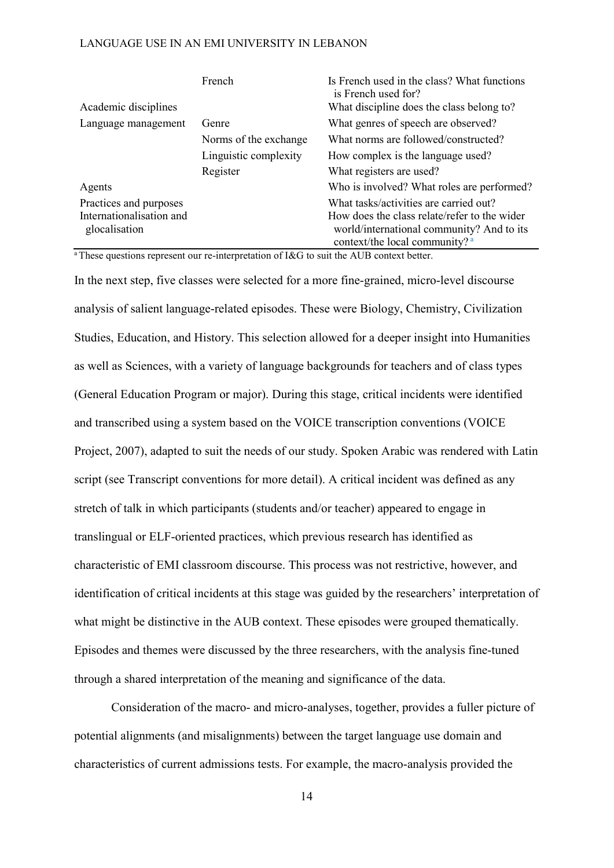|                                           | French                | Is French used in the class? What functions<br>is French used for?                                                          |
|-------------------------------------------|-----------------------|-----------------------------------------------------------------------------------------------------------------------------|
| Academic disciplines                      |                       | What discipline does the class belong to?                                                                                   |
| Language management                       | Genre                 | What genres of speech are observed?                                                                                         |
|                                           | Norms of the exchange | What norms are followed/constructed?                                                                                        |
|                                           | Linguistic complexity | How complex is the language used?                                                                                           |
|                                           | Register              | What registers are used?                                                                                                    |
| Agents                                    |                       | Who is involved? What roles are performed?                                                                                  |
| Practices and purposes                    |                       | What tasks/activities are carried out?                                                                                      |
| Internationalisation and<br>glocalisation |                       | How does the class relate/refer to the wider<br>world/international community? And to its<br>context/the local community? a |

<sup>a</sup> These questions represent our re-interpretation of I&G to suit the AUB context better.

In the next step, five classes were selected for a more fine-grained, micro-level discourse analysis of salient language-related episodes. These were Biology, Chemistry, Civilization Studies, Education, and History. This selection allowed for a deeper insight into Humanities as well as Sciences, with a variety of language backgrounds for teachers and of class types (General Education Program or major). During this stage, critical incidents were identified and transcribed using a system based on the VOICE transcription conventions (VOICE Project, 2007), adapted to suit the needs of our study. Spoken Arabic was rendered with Latin script (see Transcript conventions for more detail). A critical incident was defined as any stretch of talk in which participants (students and/or teacher) appeared to engage in translingual or ELF-oriented practices, which previous research has identified as characteristic of EMI classroom discourse. This process was not restrictive, however, and identification of critical incidents at this stage was guided by the researchers' interpretation of what might be distinctive in the AUB context. These episodes were grouped thematically. Episodes and themes were discussed by the three researchers, with the analysis fine-tuned through a shared interpretation of the meaning and significance of the data.

Consideration of the macro- and micro-analyses, together, provides a fuller picture of potential alignments (and misalignments) between the target language use domain and characteristics of current admissions tests. For example, the macro-analysis provided the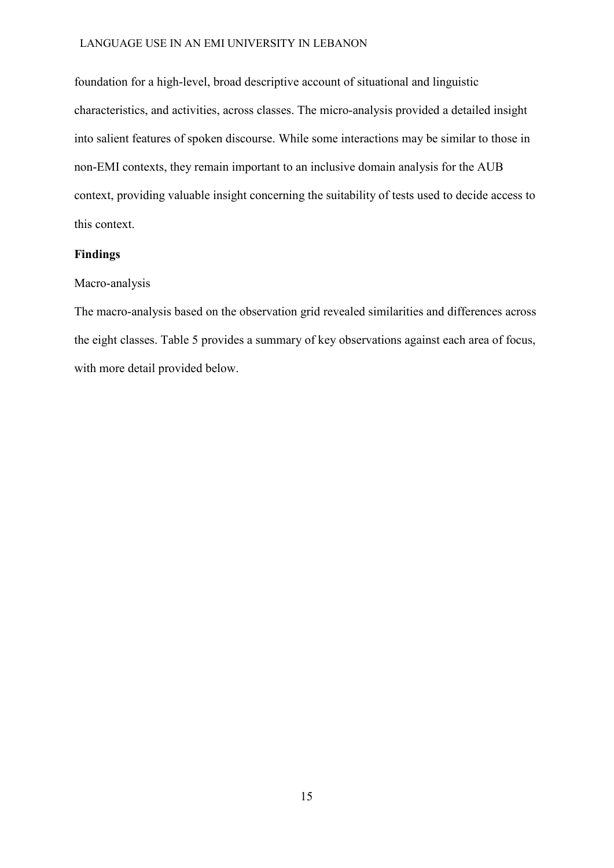foundation for a high-level, broad descriptive account of situational and linguistic characteristics, and activities, across classes. The micro-analysis provided a detailed insight into salient features of spoken discourse. While some interactions may be similar to those in non-EMI contexts, they remain important to an inclusive domain analysis for the AUB context, providing valuable insight concerning the suitability of tests used to decide access to this context.

# **Findings**

#### Macro-analysis

The macro-analysis based on the observation grid revealed similarities and differences across the eight classes. Table 5 provides a summary of key observations against each area of focus, with more detail provided below.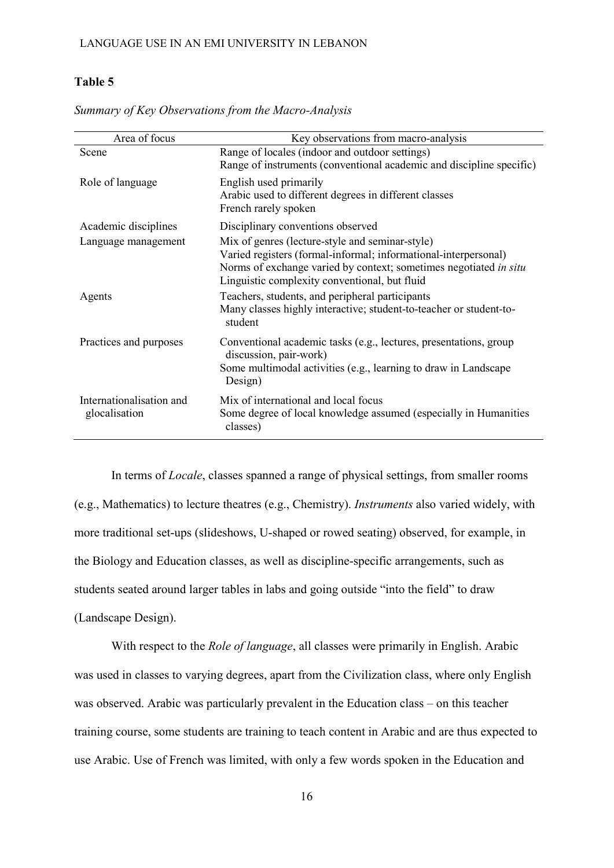# **Table 5**

| Area of focus                             | Key observations from macro-analysis                                                                                                                                                                                                     |
|-------------------------------------------|------------------------------------------------------------------------------------------------------------------------------------------------------------------------------------------------------------------------------------------|
| Scene                                     | Range of locales (indoor and outdoor settings)<br>Range of instruments (conventional academic and discipline specific)                                                                                                                   |
| Role of language                          | English used primarily<br>Arabic used to different degrees in different classes<br>French rarely spoken                                                                                                                                  |
| Academic disciplines                      | Disciplinary conventions observed                                                                                                                                                                                                        |
| Language management                       | Mix of genres (lecture-style and seminar-style)<br>Varied registers (formal-informal; informational-interpersonal)<br>Norms of exchange varied by context; sometimes negotiated in situ<br>Linguistic complexity conventional, but fluid |
| Agents                                    | Teachers, students, and peripheral participants<br>Many classes highly interactive; student-to-teacher or student-to-<br>student                                                                                                         |
| Practices and purposes                    | Conventional academic tasks (e.g., lectures, presentations, group<br>discussion, pair-work)<br>Some multimodal activities (e.g., learning to draw in Landscape<br>Design)                                                                |
| Internationalisation and<br>glocalisation | Mix of international and local focus<br>Some degree of local knowledge assumed (especially in Humanities<br>classes)                                                                                                                     |

*Summary of Key Observations from the Macro-Analysis*

In terms of *Locale*, classes spanned a range of physical settings, from smaller rooms (e.g., Mathematics) to lecture theatres (e.g., Chemistry). *Instruments* also varied widely, with more traditional set-ups (slideshows, U-shaped or rowed seating) observed, for example, in the Biology and Education classes, as well as discipline-specific arrangements, such as students seated around larger tables in labs and going outside "into the field" to draw (Landscape Design).

With respect to the *Role of language*, all classes were primarily in English. Arabic was used in classes to varying degrees, apart from the Civilization class, where only English was observed. Arabic was particularly prevalent in the Education class – on this teacher training course, some students are training to teach content in Arabic and are thus expected to use Arabic. Use of French was limited, with only a few words spoken in the Education and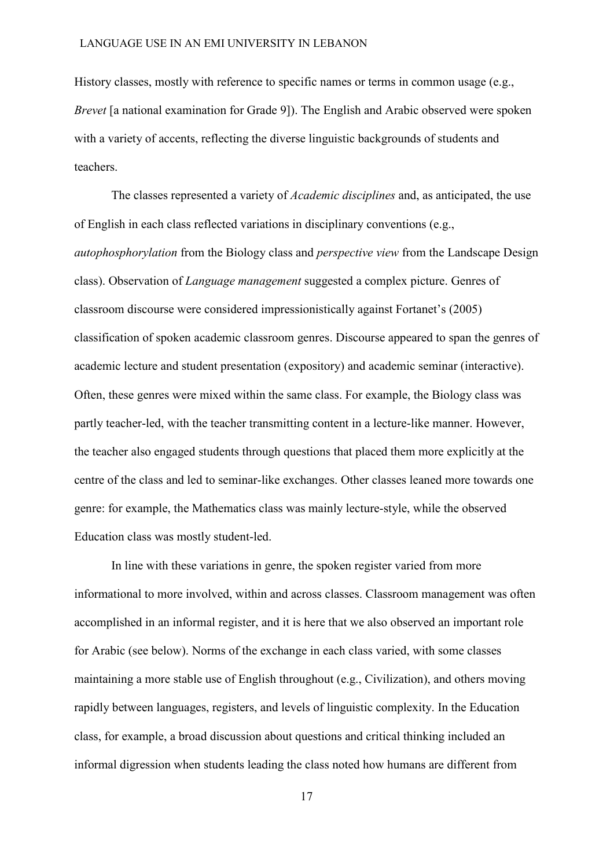History classes, mostly with reference to specific names or terms in common usage (e.g., *Brevet* [a national examination for Grade 9]). The English and Arabic observed were spoken with a variety of accents, reflecting the diverse linguistic backgrounds of students and teachers.

The classes represented a variety of *Academic disciplines* and, as anticipated, the use of English in each class reflected variations in disciplinary conventions (e.g., *autophosphorylation* from the Biology class and *perspective view* from the Landscape Design class). Observation of *Language management* suggested a complex picture. Genres of classroom discourse were considered impressionistically against Fortanet's (2005) classification of spoken academic classroom genres. Discourse appeared to span the genres of academic lecture and student presentation (expository) and academic seminar (interactive). Often, these genres were mixed within the same class. For example, the Biology class was partly teacher-led, with the teacher transmitting content in a lecture-like manner. However, the teacher also engaged students through questions that placed them more explicitly at the centre of the class and led to seminar-like exchanges. Other classes leaned more towards one genre: for example, the Mathematics class was mainly lecture-style, while the observed Education class was mostly student-led.

In line with these variations in genre, the spoken register varied from more informational to more involved, within and across classes. Classroom management was often accomplished in an informal register, and it is here that we also observed an important role for Arabic (see below). Norms of the exchange in each class varied, with some classes maintaining a more stable use of English throughout (e.g., Civilization), and others moving rapidly between languages, registers, and levels of linguistic complexity. In the Education class, for example, a broad discussion about questions and critical thinking included an informal digression when students leading the class noted how humans are different from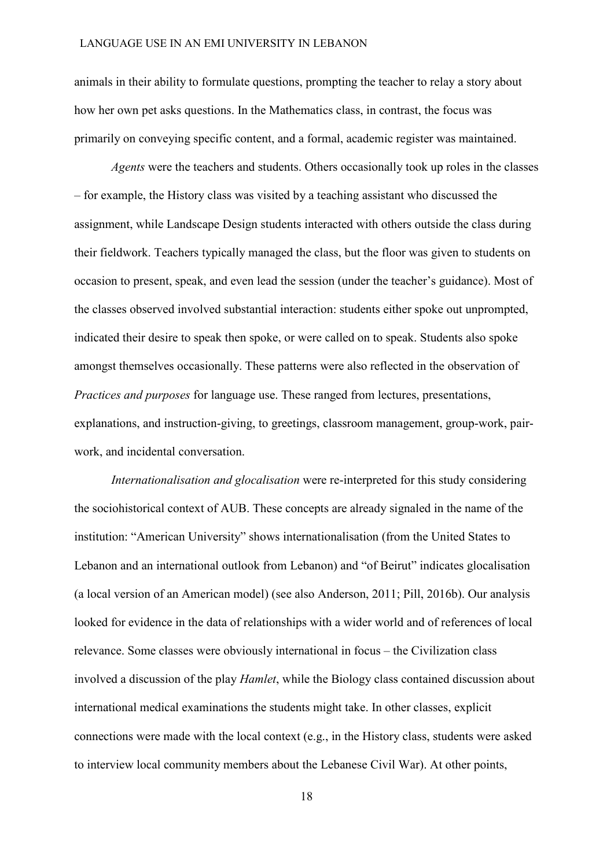animals in their ability to formulate questions, prompting the teacher to relay a story about how her own pet asks questions. In the Mathematics class, in contrast, the focus was primarily on conveying specific content, and a formal, academic register was maintained.

*Agents* were the teachers and students. Others occasionally took up roles in the classes – for example, the History class was visited by a teaching assistant who discussed the assignment, while Landscape Design students interacted with others outside the class during their fieldwork. Teachers typically managed the class, but the floor was given to students on occasion to present, speak, and even lead the session (under the teacher's guidance). Most of the classes observed involved substantial interaction: students either spoke out unprompted, indicated their desire to speak then spoke, or were called on to speak. Students also spoke amongst themselves occasionally. These patterns were also reflected in the observation of *Practices and purposes* for language use. These ranged from lectures, presentations, explanations, and instruction-giving, to greetings, classroom management, group-work, pairwork, and incidental conversation.

*Internationalisation and glocalisation* were re-interpreted for this study considering the sociohistorical context of AUB. These concepts are already signaled in the name of the institution: "American University" shows internationalisation (from the United States to Lebanon and an international outlook from Lebanon) and "of Beirut" indicates glocalisation (a local version of an American model) (see also Anderson, 2011; Pill, 2016b). Our analysis looked for evidence in the data of relationships with a wider world and of references of local relevance. Some classes were obviously international in focus – the Civilization class involved a discussion of the play *Hamlet*, while the Biology class contained discussion about international medical examinations the students might take. In other classes, explicit connections were made with the local context (e.g., in the History class, students were asked to interview local community members about the Lebanese Civil War). At other points,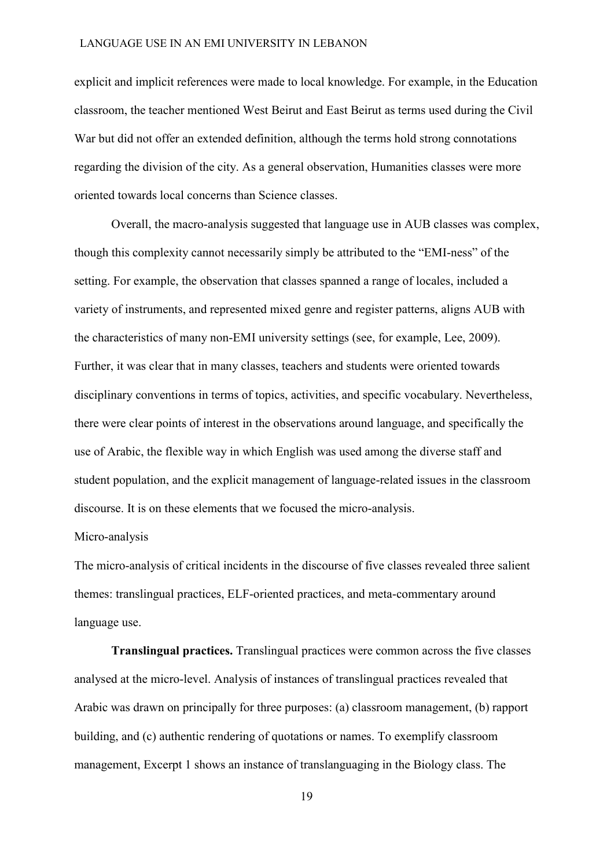explicit and implicit references were made to local knowledge. For example, in the Education classroom, the teacher mentioned West Beirut and East Beirut as terms used during the Civil War but did not offer an extended definition, although the terms hold strong connotations regarding the division of the city. As a general observation, Humanities classes were more oriented towards local concerns than Science classes.

Overall, the macro-analysis suggested that language use in AUB classes was complex, though this complexity cannot necessarily simply be attributed to the "EMI-ness" of the setting. For example, the observation that classes spanned a range of locales, included a variety of instruments, and represented mixed genre and register patterns, aligns AUB with the characteristics of many non-EMI university settings (see, for example, Lee, 2009). Further, it was clear that in many classes, teachers and students were oriented towards disciplinary conventions in terms of topics, activities, and specific vocabulary. Nevertheless, there were clear points of interest in the observations around language, and specifically the use of Arabic, the flexible way in which English was used among the diverse staff and student population, and the explicit management of language-related issues in the classroom discourse. It is on these elements that we focused the micro-analysis.

## Micro-analysis

The micro-analysis of critical incidents in the discourse of five classes revealed three salient themes: translingual practices, ELF-oriented practices, and meta-commentary around language use.

**Translingual practices.** Translingual practices were common across the five classes analysed at the micro-level. Analysis of instances of translingual practices revealed that Arabic was drawn on principally for three purposes: (a) classroom management, (b) rapport building, and (c) authentic rendering of quotations or names. To exemplify classroom management, Excerpt 1 shows an instance of translanguaging in the Biology class. The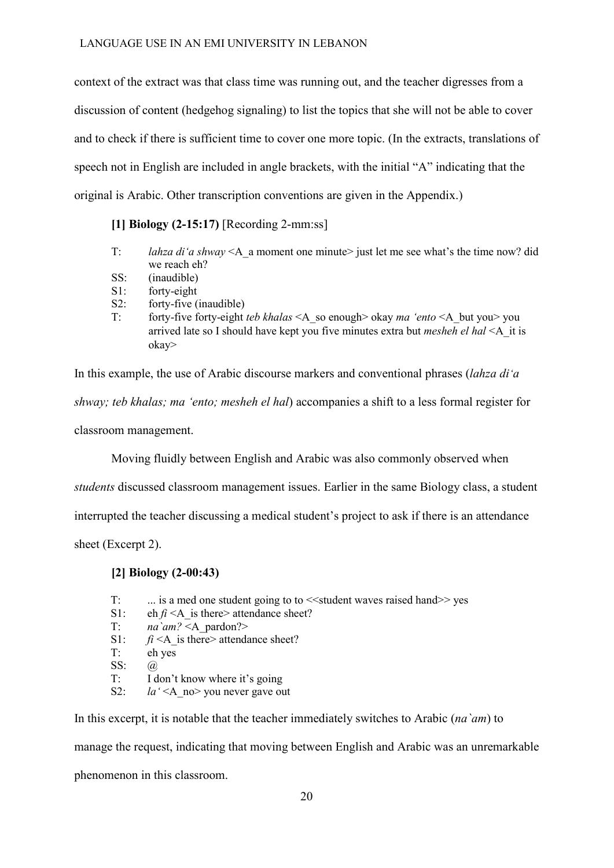context of the extract was that class time was running out, and the teacher digresses from a discussion of content (hedgehog signaling) to list the topics that she will not be able to cover and to check if there is sufficient time to cover one more topic. (In the extracts, translations of speech not in English are included in angle brackets, with the initial "A" indicating that the original is Arabic. Other transcription conventions are given in the Appendix.)

**[1] Biology (2-15:17)** [Recording 2-mm:ss]

- T: *lahza di'a shway* <A a moment one minute> just let me see what's the time now? did we reach eh?
- SS: (inaudible)
- S1: forty-eight
- S2: forty-five (inaudible)
- T: forty-five forty-eight *teb khalas* <A\_so enough> okay *ma 'ento* <A\_but you> you arrived late so I should have kept you five minutes extra but *mesheh el hal* <A\_it is okay>

In this example, the use of Arabic discourse markers and conventional phrases (*lahza di'a shway; teb khalas; ma 'ento; mesheh el hal*) accompanies a shift to a less formal register for classroom management.

Moving fluidly between English and Arabic was also commonly observed when

*students* discussed classroom management issues. Earlier in the same Biology class, a student

interrupted the teacher discussing a medical student's project to ask if there is an attendance

sheet (Excerpt 2).

## **[2] Biology (2-00:43)**

- T: ... is a med one student going to to  $\le$  student waves raised hand  $\ge$  yes
- S1: eh  $\hat{n}$  <A is there> attendance sheet?
- T:  $na\ \text{`am?} \leq A$  pardon?>
- S1:  $f_i < A$  is there> attendance sheet?
- T: eh yes
- SS: @
- T: I don't know where it's going
- S2:  $la' < A$  no > you never gave out

In this excerpt, it is notable that the teacher immediately switches to Arabic (*na`am*) to

manage the request, indicating that moving between English and Arabic was an unremarkable

phenomenon in this classroom.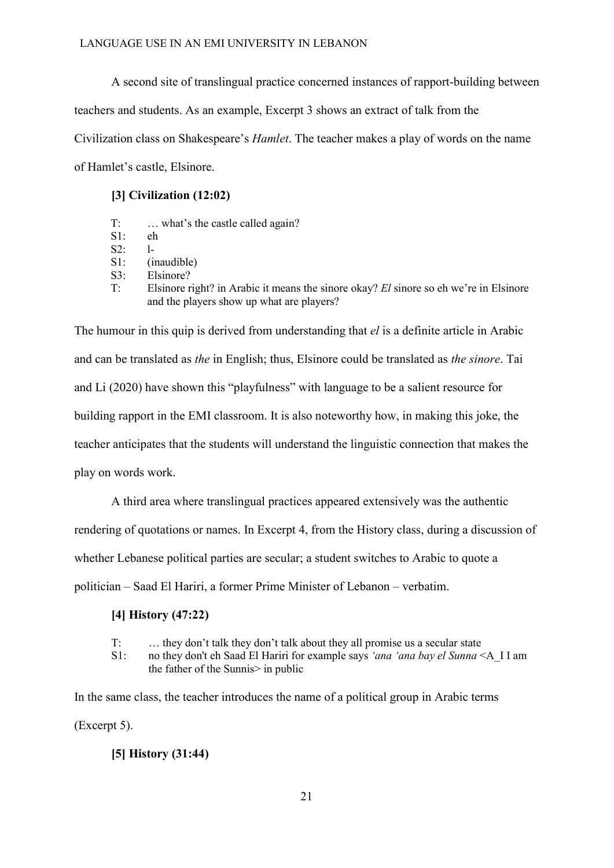A second site of translingual practice concerned instances of rapport-building between teachers and students. As an example, Excerpt 3 shows an extract of talk from the Civilization class on Shakespeare's *Hamlet*. The teacher makes a play of words on the name of Hamlet's castle, Elsinore.

# **[3] Civilization (12:02)**

- T: … what's the castle called again?
- S1: eh
- S2: l-
- S1: (inaudible)
- S3: Elsinore?
- T: Elsinore right? in Arabic it means the sinore okay? *El* sinore so eh we're in Elsinore and the players show up what are players?

The humour in this quip is derived from understanding that *el* is a definite article in Arabic and can be translated as *the* in English; thus, Elsinore could be translated as *the sinore*. Tai and Li (2020) have shown this "playfulness" with language to be a salient resource for building rapport in the EMI classroom. It is also noteworthy how, in making this joke, the teacher anticipates that the students will understand the linguistic connection that makes the play on words work.

A third area where translingual practices appeared extensively was the authentic

rendering of quotations or names. In Excerpt 4, from the History class, during a discussion of

whether Lebanese political parties are secular; a student switches to Arabic to quote a

politician – Saad El Hariri, a former Prime Minister of Lebanon – verbatim.

# **[4] History (47:22)**

- T: … they don't talk they don't talk about they all promise us a secular state
- S1: no they don't eh Saad El Hariri for example says *'ana 'ana bay el Sunna* <A\_I I am the father of the Sunnis> in public

In the same class, the teacher introduces the name of a political group in Arabic terms (Excerpt 5).

# **[5] History (31:44)**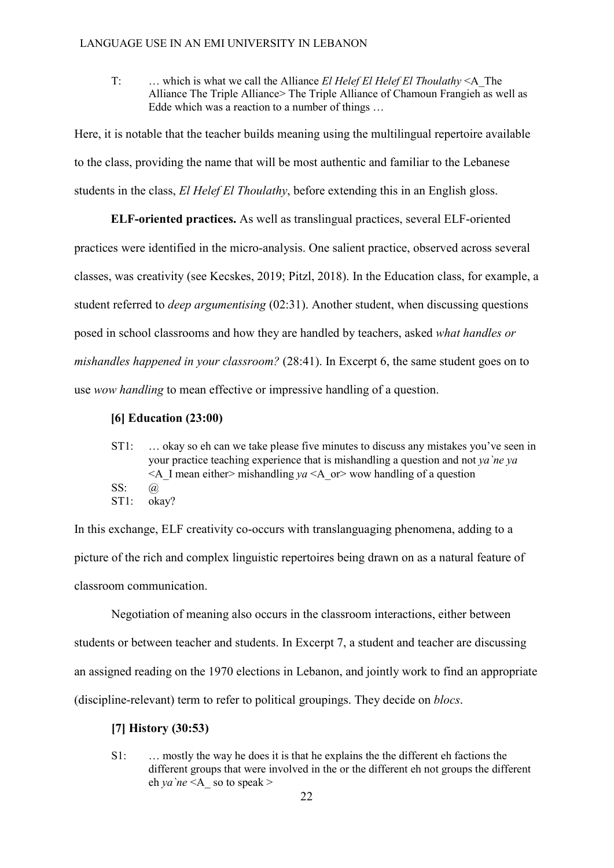T: … which is what we call the Alliance *El Helef El Helef El Thoulathy* <A\_The Alliance The Triple Alliance> The Triple Alliance of Chamoun Frangieh as well as Edde which was a reaction to a number of things …

Here, it is notable that the teacher builds meaning using the multilingual repertoire available to the class, providing the name that will be most authentic and familiar to the Lebanese students in the class, *El Helef El Thoulathy*, before extending this in an English gloss.

**ELF-oriented practices.** As well as translingual practices, several ELF-oriented practices were identified in the micro-analysis. One salient practice, observed across several classes, was creativity (see Kecskes, 2019; Pitzl, 2018). In the Education class, for example, a student referred to *deep argumentising* (02:31). Another student, when discussing questions posed in school classrooms and how they are handled by teachers, asked *what handles or mishandles happened in your classroom?* (28:41). In Excerpt 6, the same student goes on to use *wow handling* to mean effective or impressive handling of a question.

# **[6] Education (23:00)**

ST1: … okay so eh can we take please five minutes to discuss any mistakes you've seen in your practice teaching experience that is mishandling a question and not *ya`ne ya*   $\leq$ A I mean either inishandling *ya*  $\leq$ A or  $\geq$  wow handling of a question SS: @ ST1: okay?

In this exchange, ELF creativity co-occurs with translanguaging phenomena, adding to a picture of the rich and complex linguistic repertoires being drawn on as a natural feature of classroom communication.

 Negotiation of meaning also occurs in the classroom interactions, either between students or between teacher and students. In Excerpt 7, a student and teacher are discussing an assigned reading on the 1970 elections in Lebanon, and jointly work to find an appropriate (discipline-relevant) term to refer to political groupings. They decide on *blocs*.

# **[7] History (30:53)**

S1: … mostly the way he does it is that he explains the the different eh factions the different groups that were involved in the or the different eh not groups the different eh *ya* `*ne*  $\leq$ A so to speak >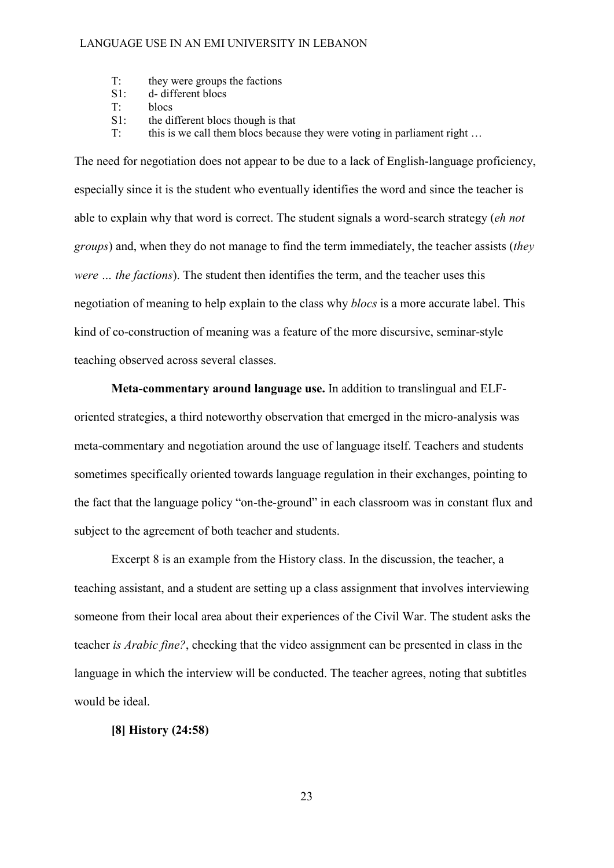- T: they were groups the factions
- S1: d- different blocs
- T: blocs
- S1: the different blocs though is that
- T: this is we call them blocs because they were voting in parliament right ...

The need for negotiation does not appear to be due to a lack of English-language proficiency, especially since it is the student who eventually identifies the word and since the teacher is able to explain why that word is correct. The student signals a word-search strategy (*eh not groups*) and, when they do not manage to find the term immediately, the teacher assists (*they were … the factions*). The student then identifies the term, and the teacher uses this negotiation of meaning to help explain to the class why *blocs* is a more accurate label. This kind of co-construction of meaning was a feature of the more discursive, seminar-style teaching observed across several classes.

**Meta-commentary around language use.** In addition to translingual and ELForiented strategies, a third noteworthy observation that emerged in the micro-analysis was meta-commentary and negotiation around the use of language itself. Teachers and students sometimes specifically oriented towards language regulation in their exchanges, pointing to the fact that the language policy "on-the-ground" in each classroom was in constant flux and subject to the agreement of both teacher and students.

Excerpt 8 is an example from the History class. In the discussion, the teacher, a teaching assistant, and a student are setting up a class assignment that involves interviewing someone from their local area about their experiences of the Civil War. The student asks the teacher *is Arabic fine?*, checking that the video assignment can be presented in class in the language in which the interview will be conducted. The teacher agrees, noting that subtitles would be ideal.

# **[8] History (24:58)**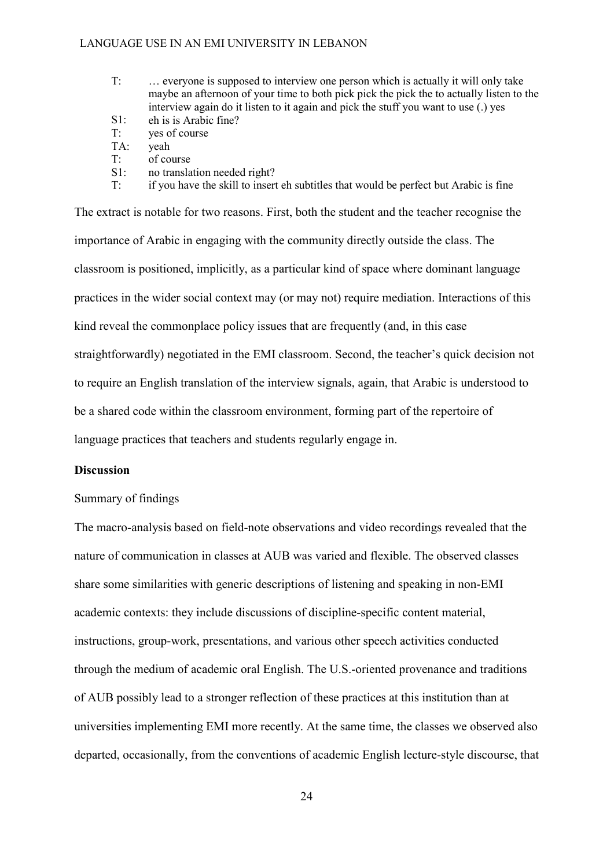- T: … everyone is supposed to interview one person which is actually it will only take maybe an afternoon of your time to both pick pick the pick the to actually listen to the interview again do it listen to it again and pick the stuff you want to use (.) yes S1: eh is is Arabic fine?
- T: yes of course
- 
- TA: yeah T: of course
- S1: no translation needed right?
- T: if you have the skill to insert eh subtitles that would be perfect but Arabic is fine

The extract is notable for two reasons. First, both the student and the teacher recognise the importance of Arabic in engaging with the community directly outside the class. The classroom is positioned, implicitly, as a particular kind of space where dominant language practices in the wider social context may (or may not) require mediation. Interactions of this kind reveal the commonplace policy issues that are frequently (and, in this case straightforwardly) negotiated in the EMI classroom. Second, the teacher's quick decision not to require an English translation of the interview signals, again, that Arabic is understood to be a shared code within the classroom environment, forming part of the repertoire of language practices that teachers and students regularly engage in.

## **Discussion**

## Summary of findings

The macro-analysis based on field-note observations and video recordings revealed that the nature of communication in classes at AUB was varied and flexible. The observed classes share some similarities with generic descriptions of listening and speaking in non-EMI academic contexts: they include discussions of discipline-specific content material, instructions, group-work, presentations, and various other speech activities conducted through the medium of academic oral English. The U.S.-oriented provenance and traditions of AUB possibly lead to a stronger reflection of these practices at this institution than at universities implementing EMI more recently. At the same time, the classes we observed also departed, occasionally, from the conventions of academic English lecture-style discourse, that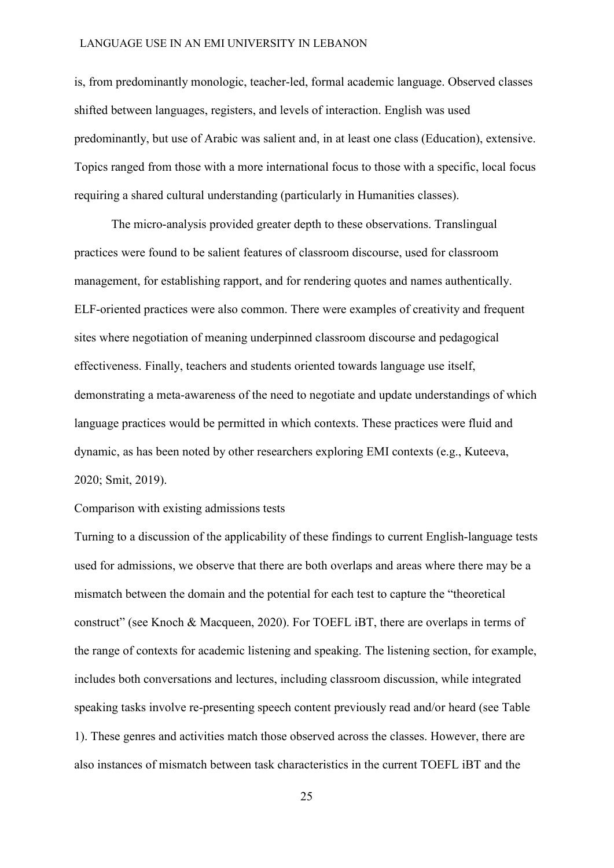is, from predominantly monologic, teacher-led, formal academic language. Observed classes shifted between languages, registers, and levels of interaction. English was used predominantly, but use of Arabic was salient and, in at least one class (Education), extensive. Topics ranged from those with a more international focus to those with a specific, local focus requiring a shared cultural understanding (particularly in Humanities classes).

The micro-analysis provided greater depth to these observations. Translingual practices were found to be salient features of classroom discourse, used for classroom management, for establishing rapport, and for rendering quotes and names authentically. ELF-oriented practices were also common. There were examples of creativity and frequent sites where negotiation of meaning underpinned classroom discourse and pedagogical effectiveness. Finally, teachers and students oriented towards language use itself, demonstrating a meta-awareness of the need to negotiate and update understandings of which language practices would be permitted in which contexts. These practices were fluid and dynamic, as has been noted by other researchers exploring EMI contexts (e.g., Kuteeva, 2020; Smit, 2019).

#### Comparison with existing admissions tests

Turning to a discussion of the applicability of these findings to current English-language tests used for admissions, we observe that there are both overlaps and areas where there may be a mismatch between the domain and the potential for each test to capture the "theoretical construct" (see Knoch & Macqueen, 2020). For TOEFL iBT, there are overlaps in terms of the range of contexts for academic listening and speaking. The listening section, for example, includes both conversations and lectures, including classroom discussion, while integrated speaking tasks involve re-presenting speech content previously read and/or heard (see Table 1). These genres and activities match those observed across the classes. However, there are also instances of mismatch between task characteristics in the current TOEFL iBT and the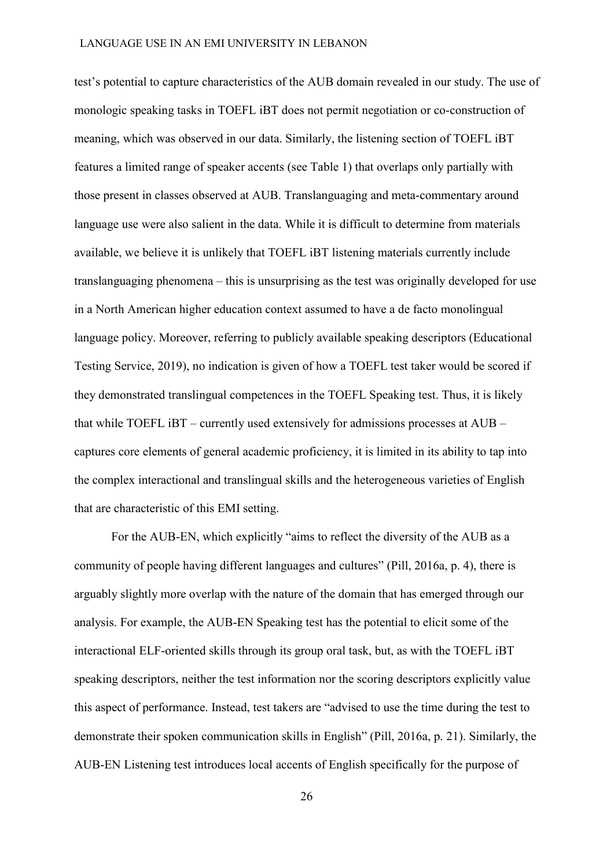test's potential to capture characteristics of the AUB domain revealed in our study. The use of monologic speaking tasks in TOEFL iBT does not permit negotiation or co-construction of meaning, which was observed in our data. Similarly, the listening section of TOEFL iBT features a limited range of speaker accents (see Table 1) that overlaps only partially with those present in classes observed at AUB. Translanguaging and meta-commentary around language use were also salient in the data. While it is difficult to determine from materials available, we believe it is unlikely that TOEFL iBT listening materials currently include translanguaging phenomena – this is unsurprising as the test was originally developed for use in a North American higher education context assumed to have a de facto monolingual language policy. Moreover, referring to publicly available speaking descriptors (Educational Testing Service, 2019), no indication is given of how a TOEFL test taker would be scored if they demonstrated translingual competences in the TOEFL Speaking test. Thus, it is likely that while TOEFL iBT – currently used extensively for admissions processes at AUB – captures core elements of general academic proficiency, it is limited in its ability to tap into the complex interactional and translingual skills and the heterogeneous varieties of English that are characteristic of this EMI setting.

For the AUB-EN, which explicitly "aims to reflect the diversity of the AUB as a community of people having different languages and cultures" (Pill, 2016a, p. 4), there is arguably slightly more overlap with the nature of the domain that has emerged through our analysis. For example, the AUB-EN Speaking test has the potential to elicit some of the interactional ELF-oriented skills through its group oral task, but, as with the TOEFL iBT speaking descriptors, neither the test information nor the scoring descriptors explicitly value this aspect of performance. Instead, test takers are "advised to use the time during the test to demonstrate their spoken communication skills in English" (Pill, 2016a, p. 21). Similarly, the AUB-EN Listening test introduces local accents of English specifically for the purpose of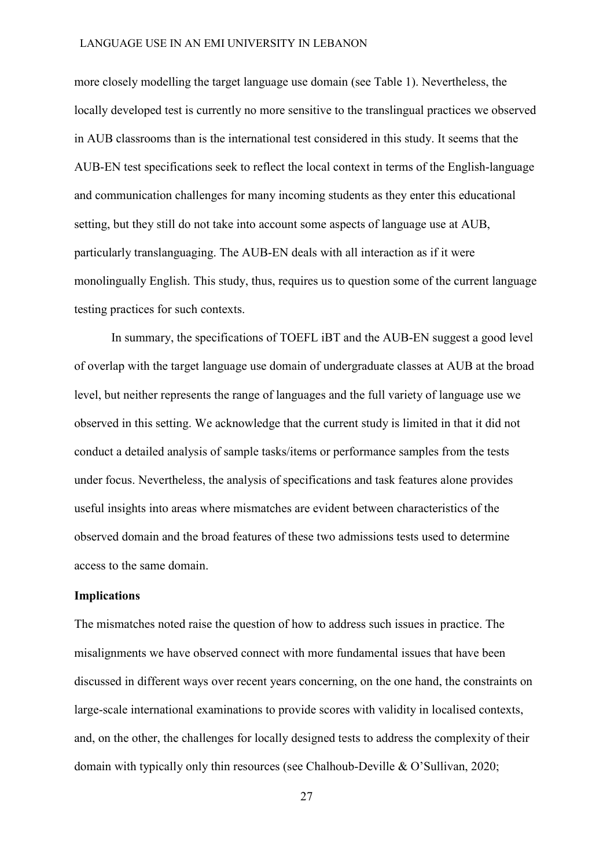more closely modelling the target language use domain (see Table 1). Nevertheless, the locally developed test is currently no more sensitive to the translingual practices we observed in AUB classrooms than is the international test considered in this study. It seems that the AUB-EN test specifications seek to reflect the local context in terms of the English-language and communication challenges for many incoming students as they enter this educational setting, but they still do not take into account some aspects of language use at AUB, particularly translanguaging. The AUB-EN deals with all interaction as if it were monolingually English. This study, thus, requires us to question some of the current language testing practices for such contexts.

In summary, the specifications of TOEFL iBT and the AUB-EN suggest a good level of overlap with the target language use domain of undergraduate classes at AUB at the broad level, but neither represents the range of languages and the full variety of language use we observed in this setting. We acknowledge that the current study is limited in that it did not conduct a detailed analysis of sample tasks/items or performance samples from the tests under focus. Nevertheless, the analysis of specifications and task features alone provides useful insights into areas where mismatches are evident between characteristics of the observed domain and the broad features of these two admissions tests used to determine access to the same domain.

#### **Implications**

The mismatches noted raise the question of how to address such issues in practice. The misalignments we have observed connect with more fundamental issues that have been discussed in different ways over recent years concerning, on the one hand, the constraints on large-scale international examinations to provide scores with validity in localised contexts, and, on the other, the challenges for locally designed tests to address the complexity of their domain with typically only thin resources (see Chalhoub-Deville & O'Sullivan, 2020;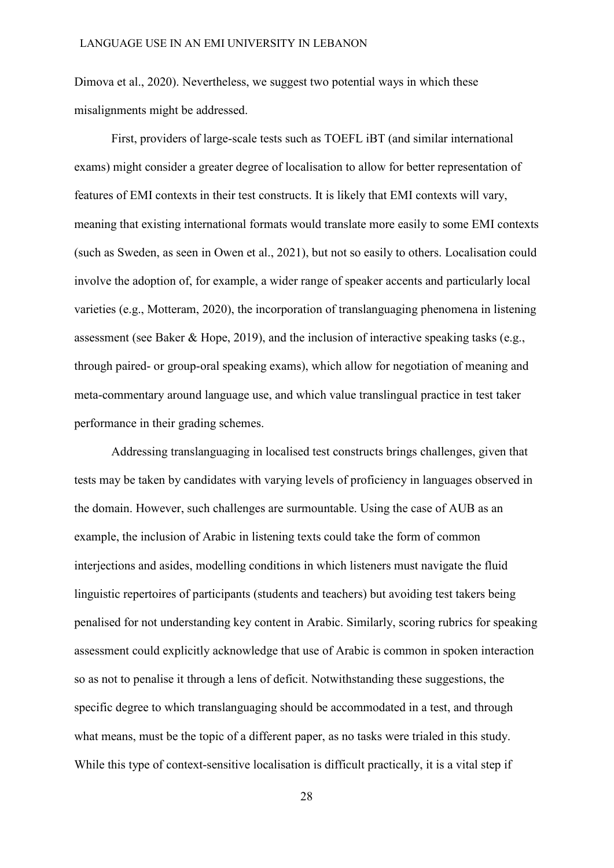Dimova et al., 2020). Nevertheless, we suggest two potential ways in which these misalignments might be addressed.

First, providers of large-scale tests such as TOEFL iBT (and similar international exams) might consider a greater degree of localisation to allow for better representation of features of EMI contexts in their test constructs. It is likely that EMI contexts will vary, meaning that existing international formats would translate more easily to some EMI contexts (such as Sweden, as seen in Owen et al., 2021), but not so easily to others. Localisation could involve the adoption of, for example, a wider range of speaker accents and particularly local varieties (e.g., Motteram, 2020), the incorporation of translanguaging phenomena in listening assessment (see Baker & Hope, 2019), and the inclusion of interactive speaking tasks (e.g., through paired- or group-oral speaking exams), which allow for negotiation of meaning and meta-commentary around language use, and which value translingual practice in test taker performance in their grading schemes.

Addressing translanguaging in localised test constructs brings challenges, given that tests may be taken by candidates with varying levels of proficiency in languages observed in the domain. However, such challenges are surmountable. Using the case of AUB as an example, the inclusion of Arabic in listening texts could take the form of common interjections and asides, modelling conditions in which listeners must navigate the fluid linguistic repertoires of participants (students and teachers) but avoiding test takers being penalised for not understanding key content in Arabic. Similarly, scoring rubrics for speaking assessment could explicitly acknowledge that use of Arabic is common in spoken interaction so as not to penalise it through a lens of deficit. Notwithstanding these suggestions, the specific degree to which translanguaging should be accommodated in a test, and through what means, must be the topic of a different paper, as no tasks were trialed in this study. While this type of context-sensitive localisation is difficult practically, it is a vital step if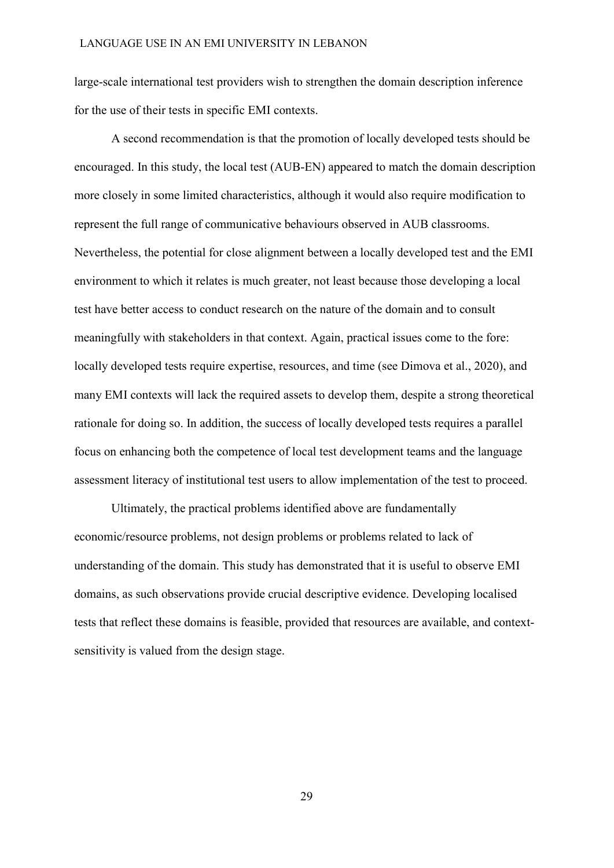large-scale international test providers wish to strengthen the domain description inference for the use of their tests in specific EMI contexts.

A second recommendation is that the promotion of locally developed tests should be encouraged. In this study, the local test (AUB-EN) appeared to match the domain description more closely in some limited characteristics, although it would also require modification to represent the full range of communicative behaviours observed in AUB classrooms. Nevertheless, the potential for close alignment between a locally developed test and the EMI environment to which it relates is much greater, not least because those developing a local test have better access to conduct research on the nature of the domain and to consult meaningfully with stakeholders in that context. Again, practical issues come to the fore: locally developed tests require expertise, resources, and time (see Dimova et al., 2020), and many EMI contexts will lack the required assets to develop them, despite a strong theoretical rationale for doing so. In addition, the success of locally developed tests requires a parallel focus on enhancing both the competence of local test development teams and the language assessment literacy of institutional test users to allow implementation of the test to proceed.

Ultimately, the practical problems identified above are fundamentally economic/resource problems, not design problems or problems related to lack of understanding of the domain. This study has demonstrated that it is useful to observe EMI domains, as such observations provide crucial descriptive evidence. Developing localised tests that reflect these domains is feasible, provided that resources are available, and contextsensitivity is valued from the design stage.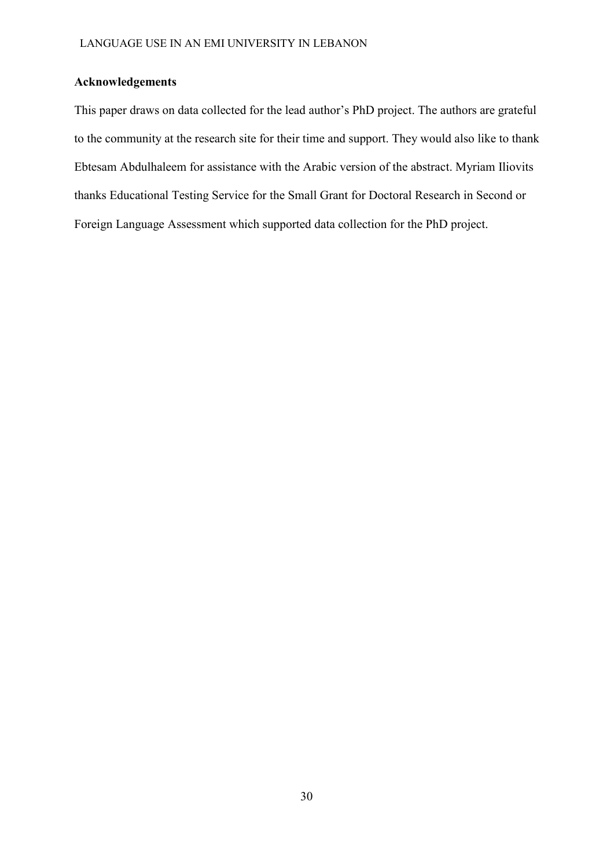# **Acknowledgements**

This paper draws on data collected for the lead author's PhD project. The authors are grateful to the community at the research site for their time and support. They would also like to thank Ebtesam Abdulhaleem for assistance with the Arabic version of the abstract. Myriam Iliovits thanks Educational Testing Service for the Small Grant for Doctoral Research in Second or Foreign Language Assessment which supported data collection for the PhD project.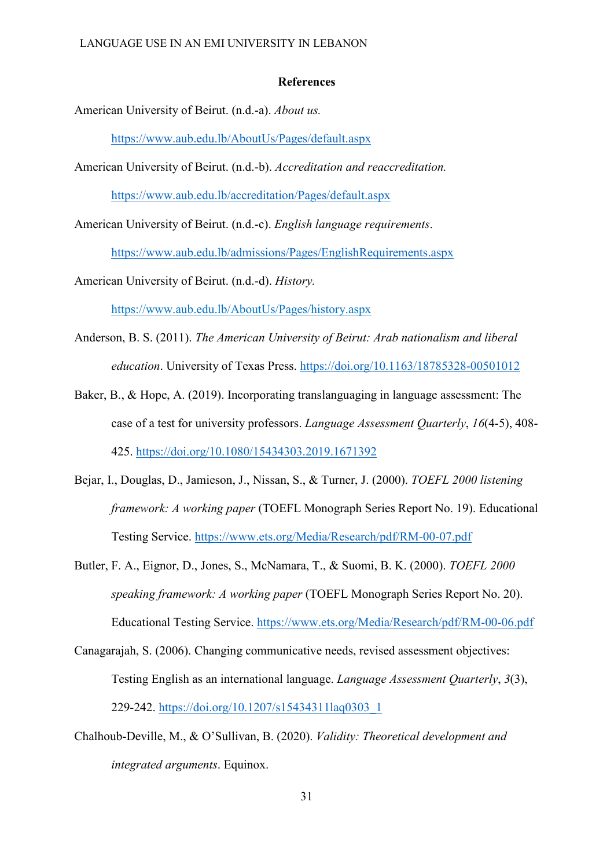## **References**

American University of Beirut. (n.d.-a). *About us.*

<https://www.aub.edu.lb/AboutUs/Pages/default.aspx>

American University of Beirut. (n.d.-b). *Accreditation and reaccreditation.*

<https://www.aub.edu.lb/accreditation/Pages/default.aspx>

American University of Beirut. (n.d.-c). *English language requirements*.

<https://www.aub.edu.lb/admissions/Pages/EnglishRequirements.aspx>

American University of Beirut. (n.d.-d). *History.*

<https://www.aub.edu.lb/AboutUs/Pages/history.aspx>

- Anderson, B. S. (2011). *The American University of Beirut: Arab nationalism and liberal education*. University of Texas Press.<https://doi.org/10.1163/18785328-00501012>
- Baker, B., & Hope, A. (2019). Incorporating translanguaging in language assessment: The case of a test for university professors. *Language Assessment Quarterly*, *16*(4-5), 408- 425.<https://doi.org/10.1080/15434303.2019.1671392>
- Bejar, I., Douglas, D., Jamieson, J., Nissan, S., & Turner, J. (2000). *TOEFL 2000 listening framework: A working paper* (TOEFL Monograph Series Report No. 19). Educational Testing Service. <https://www.ets.org/Media/Research/pdf/RM-00-07.pdf>
- Butler, F. A., Eignor, D., Jones, S., McNamara, T., & Suomi, B. K. (2000). *TOEFL 2000 speaking framework: A working paper* (TOEFL Monograph Series Report No. 20). Educational Testing Service. <https://www.ets.org/Media/Research/pdf/RM-00-06.pdf>
- Canagarajah, S. (2006). Changing communicative needs, revised assessment objectives: Testing English as an international language. *Language Assessment Quarterly*, *3*(3), 229-242. [https://doi.org/10.1207/s15434311laq0303\\_1](https://doi.org/10.1207/s15434311laq0303_1)
- Chalhoub-Deville, M., & O'Sullivan, B. (2020). *Validity: Theoretical development and integrated arguments*. Equinox.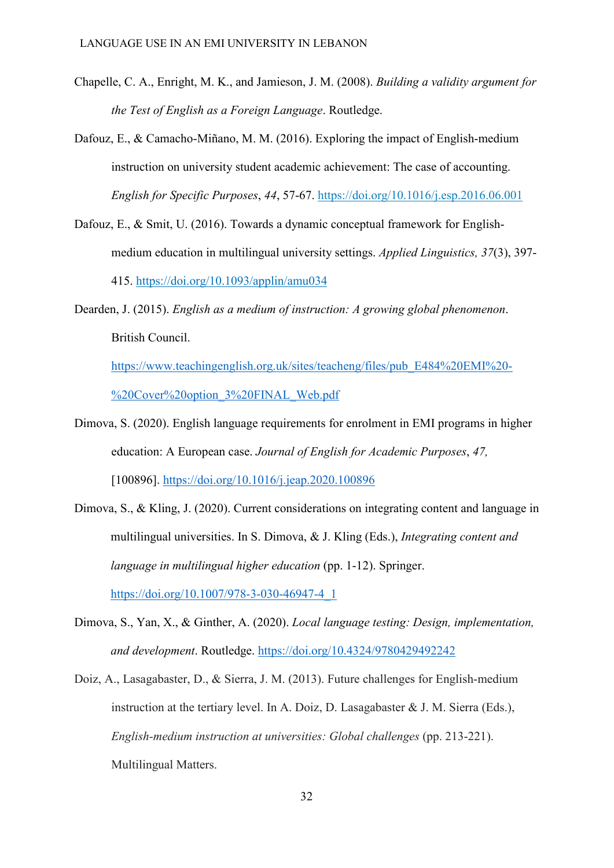- Chapelle, C. A., Enright, M. K., and Jamieson, J. M. (2008). *Building a validity argument for the Test of English as a Foreign Language*. Routledge.
- Dafouz, E., & Camacho-Miñano, M. M. (2016). Exploring the impact of English-medium instruction on university student academic achievement: The case of accounting. *English for Specific Purposes*, *44*, 57-67.<https://doi.org/10.1016/j.esp.2016.06.001>
- Dafouz, E., & Smit, U. (2016). Towards a dynamic conceptual framework for Englishmedium education in multilingual university settings. *Applied Linguistics, 37*(3), 397- 415.<https://doi.org/10.1093/applin/amu034>
- Dearden, J. (2015). *English as a medium of instruction: A growing global phenomenon*. British Council.

[https://www.teachingenglish.org.uk/sites/teacheng/files/pub\\_E484%20EMI%20-](https://www.teachingenglish.org.uk/sites/teacheng/files/pub_E484%20EMI%20-%20Cover%20option_3%20FINAL_Web.pdf) [%20Cover%20option\\_3%20FINAL\\_Web.pdf](https://www.teachingenglish.org.uk/sites/teacheng/files/pub_E484%20EMI%20-%20Cover%20option_3%20FINAL_Web.pdf) 

- Dimova, S. (2020). English language requirements for enrolment in EMI programs in higher education: A European case. *Journal of English for Academic Purposes*, *47,* [100896].<https://doi.org/10.1016/j.jeap.2020.100896>
- Dimova, S., & Kling, J. (2020). Current considerations on integrating content and language in multilingual universities. In S. Dimova, & J. Kling (Eds.), *Integrating content and language in multilingual higher education* (pp. 1-12). Springer. [https://doi.org/10.1007/978-3-030-46947-4\\_1](https://doi.org/10.1007/978-3-030-46947-4_1)
- Dimova, S., Yan, X., & Ginther, A. (2020). *Local language testing: Design, implementation, and development*. Routledge.<https://doi.org/10.4324/9780429492242>
- Doiz, A., Lasagabaster, D., & Sierra, J. M. (2013). Future challenges for English-medium instruction at the tertiary level. In A. Doiz, D. Lasagabaster & J. M. Sierra (Eds.), *English-medium instruction at universities: Global challenges (pp. 213-221).* Multilingual Matters.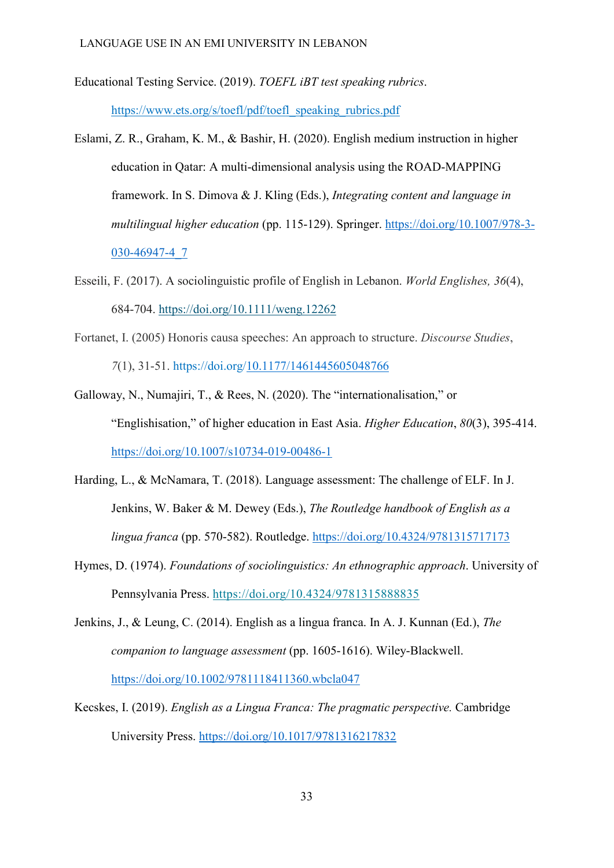Educational Testing Service. (2019). *TOEFL iBT test speaking rubrics*.

https://www.ets.org/s/toefl/pdf/toefl\_speaking\_rubrics.pdf

- Eslami, Z. R., Graham, K. M., & Bashir, H. (2020). English medium instruction in higher education in Qatar: A multi-dimensional analysis using the ROAD-MAPPING framework. In S. Dimova & J. Kling (Eds.), *Integrating content and language in multilingual higher education* (pp. 115-129). Springer. [https://doi.org/10.1007/978-3-](https://doi.org/10.1007/978-3-030-46947-4_7) [030-46947-4\\_7](https://doi.org/10.1007/978-3-030-46947-4_7)
- Esseili, F. (2017). A sociolinguistic profile of English in Lebanon. *World Englishes, 36*(4), 684-704.<https://doi.org/10.1111/weng.12262>
- Fortanet, I. (2005) Honoris causa speeches: An approach to structure. *Discourse Studies*, *7*(1), 31-51. https://doi.org[/10.1177/1461445605048766](https://doi-org.ezproxy.lancs.ac.uk/10.1177/1461445605048766)
- Galloway, N., Numajiri, T., & Rees, N. (2020). The "internationalisation," or "Englishisation," of higher education in East Asia. *Higher Education*, *80*(3), 395-414. <https://doi.org/10.1007/s10734-019-00486-1>
- Harding, L., & McNamara, T. (2018). Language assessment: The challenge of ELF. In J. Jenkins, W. Baker & M. Dewey (Eds.), *The Routledge handbook of English as a lingua franca* (pp. 570-582). Routledge.<https://doi.org/10.4324/9781315717173>
- Hymes, D. (1974). *Foundations of sociolinguistics: An ethnographic approach*. University of Pennsylvania Press.<https://doi.org/10.4324/9781315888835>
- Jenkins, J., & Leung, C. (2014). English as a lingua franca. In A. J. Kunnan (Ed.), *The companion to language assessment* (pp. 1605-1616). Wiley-Blackwell. <https://doi.org/10.1002/9781118411360.wbcla047>
- Kecskes, I. (2019). *English as a Lingua Franca: The pragmatic perspective.* Cambridge University Press.<https://doi.org/10.1017/9781316217832>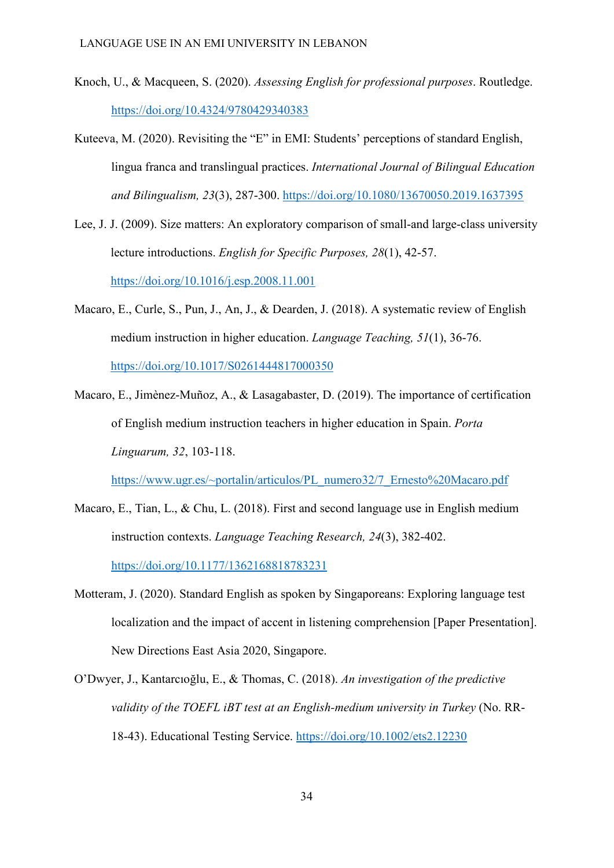- Knoch, U., & Macqueen, S. (2020). *Assessing English for professional purposes*. Routledge. <https://doi.org/10.4324/9780429340383>
- Kuteeva, M. (2020). Revisiting the "E" in EMI: Students' perceptions of standard English, lingua franca and translingual practices. *International Journal of Bilingual Education and Bilingualism, 23*(3), 287-300.<https://doi.org/10.1080/13670050.2019.1637395>
- Lee, J. J. (2009). Size matters: An exploratory comparison of small-and large-class university lecture introductions. *English for Specific Purposes, 28*(1), 42-57. <https://doi.org/10.1016/j.esp.2008.11.001>
- Macaro, E., Curle, S., Pun, J., An, J., & Dearden, J. (2018). A systematic review of English medium instruction in higher education. *Language Teaching, 51*(1), 36-76. <https://doi.org/10.1017/S0261444817000350>
- Macaro, E., Jimènez-Muñoz, A., & Lasagabaster, D. (2019). The importance of certification of English medium instruction teachers in higher education in Spain. *Porta Linguarum, 32*, 103-118.

https://www.ugr.es/~portalin/articulos/PL\_numero32/7\_Ernesto%20Macaro.pdf

- Macaro, E., Tian, L., & Chu, L. (2018). First and second language use in English medium instruction contexts. *Language Teaching Research, 24*(3), 382-402. [https://doi.org/10.1177/1362168818783231](https://doi.org/10.1177%2F1362168818783231)
- Motteram, J. (2020). Standard English as spoken by Singaporeans: Exploring language test localization and the impact of accent in listening comprehension [Paper Presentation]. New Directions East Asia 2020, Singapore.
- O'Dwyer, J., Kantarcıoğlu, E., & Thomas, C. (2018). *An investigation of the predictive validity of the TOEFL iBT test at an English‐medium university in Turkey* (No. RR-18-43). Educational Testing Service. <https://doi.org/10.1002/ets2.12230>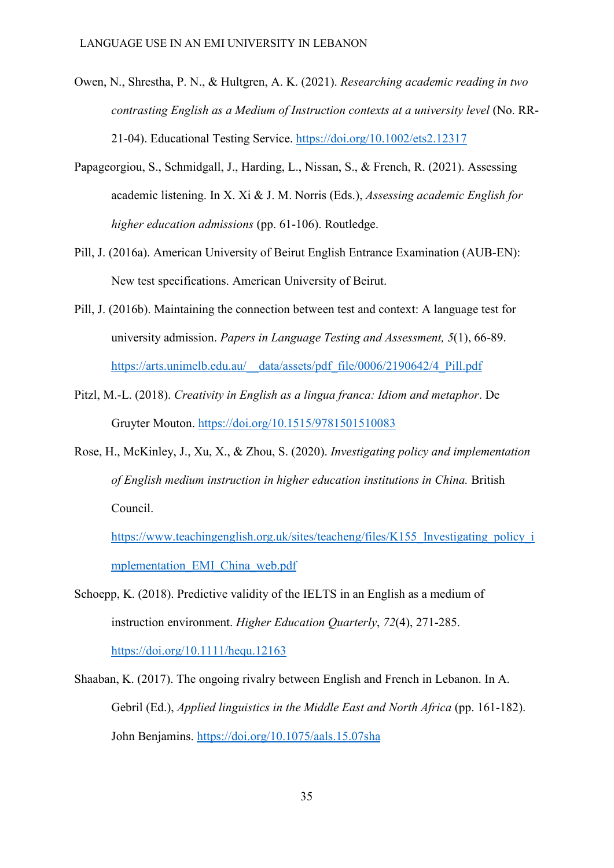- Owen, N., Shrestha, P. N., & Hultgren, A. K. (2021). *Researching academic reading in two contrasting English as a Medium of Instruction contexts at a university level* (No. RR-21-04). Educational Testing Service.<https://doi.org/10.1002/ets2.12317>
- Papageorgiou, S., Schmidgall, J., Harding, L., Nissan, S., & French, R. (2021). Assessing academic listening. In X. Xi & J. M. Norris (Eds.), *Assessing academic English for higher education admissions* (pp. 61-106). Routledge.
- Pill, J. (2016a). American University of Beirut English Entrance Examination (AUB-EN): New test specifications. American University of Beirut.
- Pill, J. (2016b). Maintaining the connection between test and context: A language test for university admission. *Papers in Language Testing and Assessment, 5*(1), 66-89. [https://arts.unimelb.edu.au/\\_\\_data/assets/pdf\\_file/0006/2190642/4\\_Pill.pdf](https://arts.unimelb.edu.au/__data/assets/pdf_file/0006/2190642/4_Pill.pdf)
- Pitzl, M.-L. (2018). *Creativity in English as a lingua franca: Idiom and metaphor*. De Gruyter Mouton.<https://doi.org/10.1515/9781501510083>
- Rose, H., McKinley, J., Xu, X., & Zhou, S. (2020). *Investigating policy and implementation of English medium instruction in higher education institutions in China.* British Council.

[https://www.teachingenglish.org.uk/sites/teacheng/files/K155\\_Investigating\\_policy\\_i](https://www.teachingenglish.org.uk/sites/teacheng/files/K155_Investigating_policy_implementation_EMI_China_web.pdf) [mplementation\\_EMI\\_China\\_web.pdf](https://www.teachingenglish.org.uk/sites/teacheng/files/K155_Investigating_policy_implementation_EMI_China_web.pdf) 

Schoepp, K. (2018). Predictive validity of the IELTS in an English as a medium of instruction environment. *Higher Education Quarterly*, *72*(4), 271-285. <https://doi.org/10.1111/hequ.12163>

Shaaban, K. (2017). The ongoing rivalry between English and French in Lebanon. In A. Gebril (Ed.), *Applied linguistics in the Middle East and North Africa* (pp. 161-182). John Benjamins. <https://doi.org/10.1075/aals.15.07sha>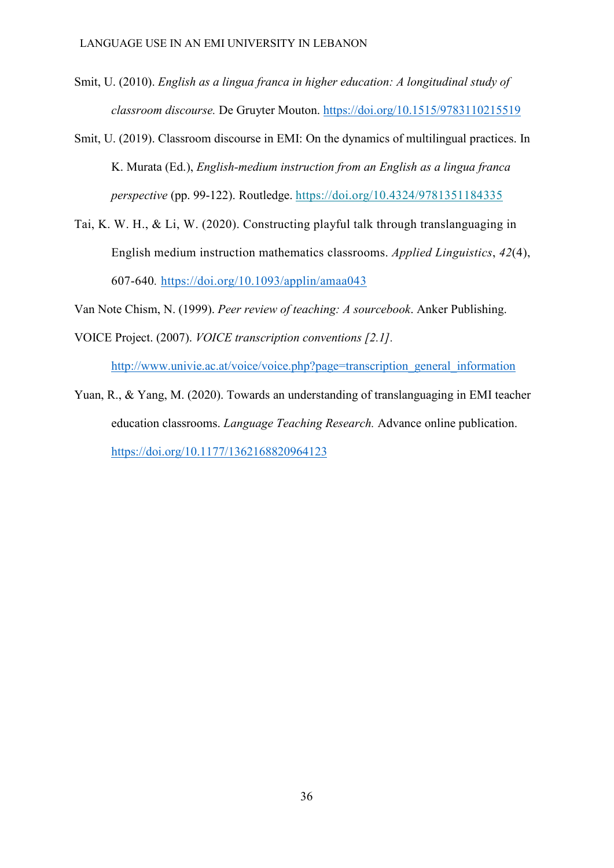- Smit, U. (2010). *English as a lingua franca in higher education: A longitudinal study of classroom discourse.* De Gruyter Mouton.<https://doi.org/10.1515/9783110215519>
- Smit, U. (2019). Classroom discourse in EMI: On the dynamics of multilingual practices. In K. Murata (Ed.), *English-medium instruction from an English as a lingua franca perspective* (pp. 99-122). Routledge.<https://doi.org/10.4324/9781351184335>
- Tai, K. W. H., & Li, W. (2020). Constructing playful talk through translanguaging in English medium instruction mathematics classrooms. *Applied Linguistics*, *42*(4), 607-640*.* <https://doi.org/10.1093/applin/amaa043>

Van Note Chism, N. (1999). *Peer review of teaching: A sourcebook*. Anker Publishing.

VOICE Project. (2007). *VOICE transcription conventions [2.1].*

[http://www.univie.ac.at/voice/voice.php?page=transcription\\_general\\_information](http://www.univie.ac.at/voice/voice.php?page=transcription_general_information)

Yuan, R., & Yang, M. (2020). Towards an understanding of translanguaging in EMI teacher education classrooms. *Language Teaching Research.* Advance online publication. <https://doi.org/10.1177/1362168820964123>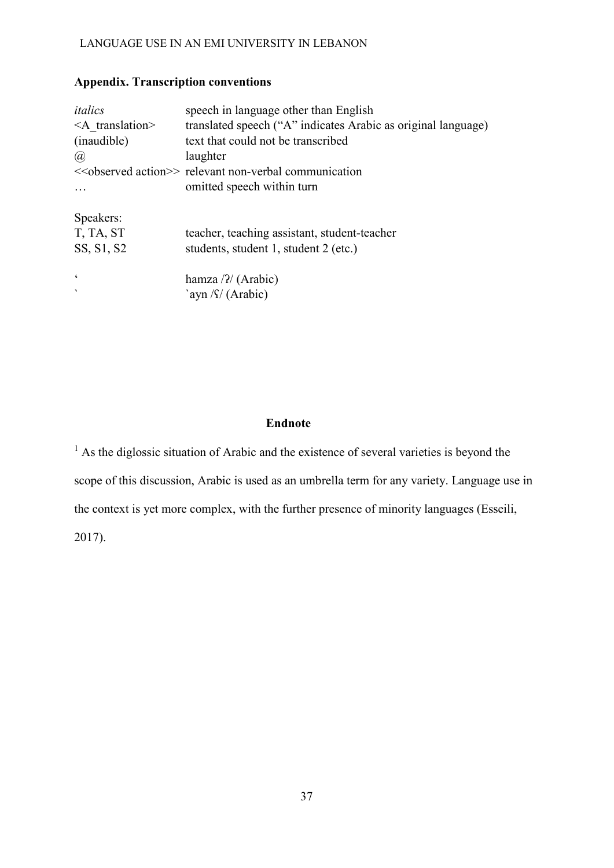# **Appendix. Transcription conventions**

| italics                  | speech in language other than English                                   |
|--------------------------|-------------------------------------------------------------------------|
| $\leq$ A translation>    | translated speech ("A" indicates Arabic as original language)           |
| (inaudible)              | text that could not be transcribed                                      |
| (a)                      | laughter                                                                |
|                          | < <observed action="">&gt; relevant non-verbal communication</observed> |
|                          | omitted speech within turn                                              |
| Speakers:                |                                                                         |
| T, TA, ST                | teacher, teaching assistant, student-teacher                            |
| SS, S1, S2               | students, student 1, student 2 (etc.)                                   |
| $\boldsymbol{\varsigma}$ | hamza $\frac{7}{4}$ (Arabic)                                            |
| $\cdot$                  | `ayn $\int \int$ (Arabic)                                               |

# **Endnote**

<sup>1</sup> As the diglossic situation of Arabic and the existence of several varieties is beyond the scope of this discussion, Arabic is used as an umbrella term for any variety. Language use in the context is yet more complex, with the further presence of minority languages (Esseili, 2017).